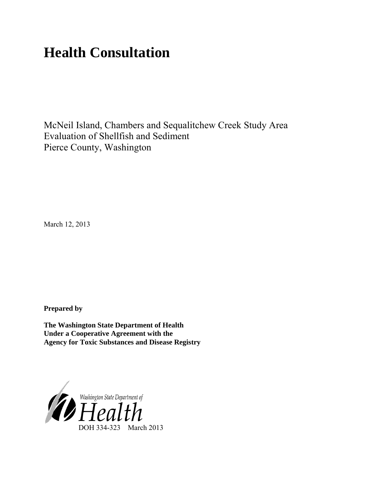# **Health Consultation**

McNeil Island, Chambers and Sequalitchew Creek Study Area Evaluation of Shellfish and Sediment Pierce County, Washington

March 12, 2013

**Prepared by**

**The Washington State Department of Health Under a Cooperative Agreement with the Agency for Toxic Substances and Disease Registry**

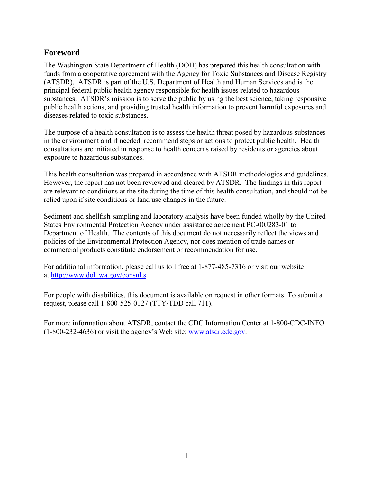# <span id="page-1-0"></span>**Foreword**

The Washington State Department of Health (DOH) has prepared this health consultation with funds from a cooperative agreement with the Agency for Toxic Substances and Disease Registry (ATSDR). ATSDR is part of the U.S. Department of Health and Human Services and is the principal federal public health agency responsible for health issues related to hazardous substances. ATSDR's mission is to serve the public by using the best science, taking responsive public health actions, and providing trusted health information to prevent harmful exposures and diseases related to toxic substances.

The purpose of a health consultation is to assess the health threat posed by hazardous substances in the environment and if needed, recommend steps or actions to protect public health. Health consultations are initiated in response to health concerns raised by residents or agencies about exposure to hazardous substances.

This health consultation was prepared in accordance with ATSDR methodologies and guidelines. However, the report has not been reviewed and cleared by ATSDR. The findings in this report are relevant to conditions at the site during the time of this health consultation, and should not be relied upon if site conditions or land use changes in the future.

Sediment and shellfish sampling and laboratory analysis have been funded wholly by the United States Environmental Protection Agency under assistance agreement PC-00J283-01 to Department of Health. The contents of this document do not necessarily reflect the views and policies of the Environmental Protection Agency, nor does mention of trade names or commercial products constitute endorsement or recommendation for use.

For additional information, please call us toll free at 1-877-485-7316 or visit our website at [http://www.doh.wa.gov/consul](http://www.doh.wa.gov/consults)ts.

For people with disabilities, this document is available on request in other formats. To submit a request, please call 1-800-525-0127 (TTY/TDD call 711).

<span id="page-1-1"></span>For more information about ATSDR, contact the CDC Information Center at 1-800-CDC-INFO (1-800-232-4636) or visit the agency's Web site: [www.atsdr.cdc.gov.](http://www.atsdr.cdc.gov/)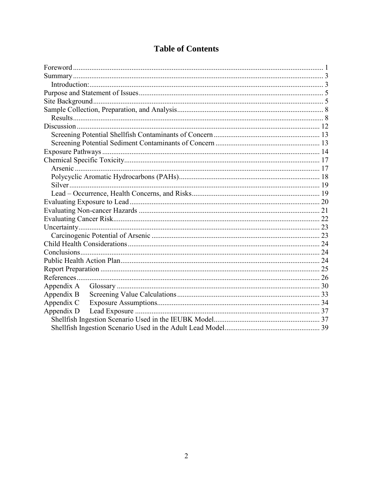| <b>Table of Contents</b> |  |
|--------------------------|--|
|--------------------------|--|

| Appendix B |  |  |  |  |  |
|------------|--|--|--|--|--|
| Appendix C |  |  |  |  |  |
| Appendix D |  |  |  |  |  |
|            |  |  |  |  |  |
|            |  |  |  |  |  |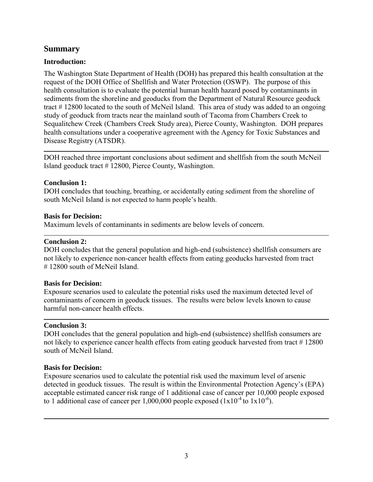## <span id="page-3-0"></span>**Summary**

#### <span id="page-3-1"></span>**Introduction:**

The Washington State Department of Health (DOH) has prepared this health consultation at the request of the DOH Office of Shellfish and Water Protection (OSWP). The purpose of this health consultation is to evaluate the potential human health hazard posed by contaminants in sediments from the shoreline and geoducks from the Department of Natural Resource geoduck tract # 12800 located to the south of McNeil Island. This area of study was added to an ongoing study of geoduck from tracts near the mainland south of Tacoma from Chambers Creek to Sequalitchew Creek (Chambers Creek Study area), Pierce County, Washington. DOH prepares health consultations under a cooperative agreement with the Agency for Toxic Substances and Disease Registry (ATSDR).

DOH reached three important conclusions about sediment and shellfish from the south McNeil Island geoduck tract # 12800, Pierce County, Washington.

#### **Conclusion 1:**

DOH concludes that touching, breathing, or accidentally eating sediment from the shoreline of south McNeil Island is not expected to harm people's health.

#### **Basis for Decision:**

Maximum levels of contaminants in sediments are below levels of concern.

#### **Conclusion 2:**

DOH concludes that the general population and high-end (subsistence) shellfish consumers are not likely to experience non-cancer health effects from eating geoducks harvested from tract # 12800 south of McNeil Island.

#### **Basis for Decision:**

Exposure scenarios used to calculate the potential risks used the maximum detected level of contaminants of concern in geoduck tissues. The results were below levels known to cause harmful non-cancer health effects.

#### **Conclusion 3:**

DOH concludes that the general population and high-end (subsistence) shellfish consumers are not likely to experience cancer health effects from eating geoduck harvested from tract #12800 south of McNeil Island

#### **Basis for Decision:**

Exposure scenarios used to calculate the potential risk used the maximum level of arsenic detected in geoduck tissues. The result is within the Environmental Protection Agency's (EPA) acceptable estimated cancer risk range of 1 additional case of cancer per 10,000 people exposed to 1 additional case of cancer per 1,000,000 people exposed  $(1x10^{-4} \text{ to } 1x10^{-6})$ .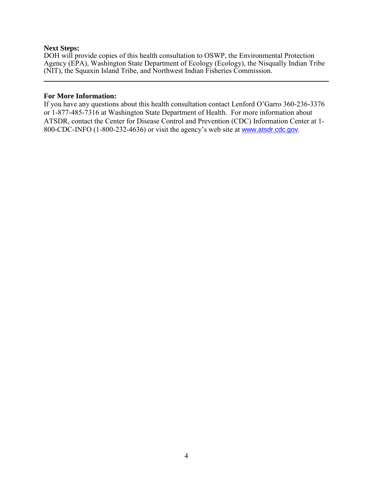#### **Next Steps:**

DOH will provide copies of this health consultation to OSWP, the Environmental Protection Agency (EPA), Washington State Department of Ecology (Ecology), the Nisqually Indian Tribe (NIT), the Squaxin Island Tribe, and Northwest Indian Fisheries Commission.

#### **For More Information:**

If you have any questions about this health consultation contact Lenford O'Garro 360-236-3376 or 1-877-485-7316 at Washington State Department of Health. For more information about ATSDR, contact the Center for Disease Control and Prevention (CDC) Information Center at 1- 800-CDC-INFO (1-800-232-4636) or visit the agency's web site at [www.atsdr.cdc.gov](http://www.atsdr.cdc.gov/).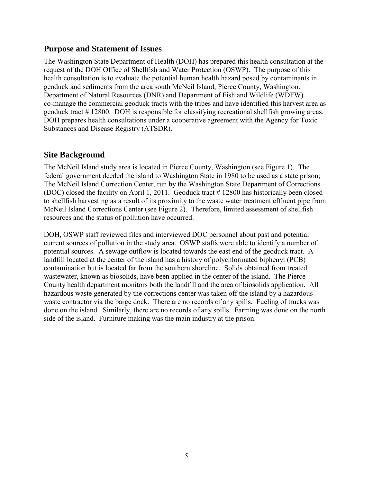## <span id="page-5-0"></span>**Purpose and Statement of Issues**

The Washington State Department of Health (DOH) has prepared this health consultation at the request of the DOH Office of Shellfish and Water Protection (OSWP). The purpose of this health consultation is to evaluate the potential human health hazard posed by contaminants in geoduck and sediments from the area south McNeil Island, Pierce County, Washington. Department of Natural Resources (DNR) and Department of Fish and Wildlife (WDFW) co-manage the commercial geoduck tracts with the tribes and have identified this harvest area as geoduck tract # 12800. DOH is responsible for classifying recreational shellfish growing areas. DOH prepares health consultations under a cooperative agreement with the Agency for Toxic Substances and Disease Registry (ATSDR).

# <span id="page-5-1"></span>**Site Background**

The McNeil Island study area is located in Pierce County, Washington (see Figure 1). The federal government deeded the island to Washington State in 1980 to be used as a state prison; The McNeil Island Correction Center, run by the Washington State Department of Corrections (DOC) closed the facility on April 1, 2011. Geoduck tract # 12800 has historically been closed to shellfish harvesting as a result of its proximity to the waste water treatment effluent pipe from McNeil Island Corrections Center (see Figure 2). Therefore, limited assessment of shellfish resources and the status of pollution have occurred.

DOH, OSWP staff reviewed files and interviewed DOC personnel about past and potential current sources of pollution in the study area. OSWP staffs were able to identify a number of potential sources. A sewage outflow is located towards the east end of the geoduck tract. A landfill located at the center of the island has a history of polychlorinated biphenyl (PCB) contamination but is located far from the southern shoreline. Solids obtained from treated wastewater, known as biosolids, have been applied in the center of the island. The Pierce County health department monitors both the landfill and the area of biosolids application. All hazardous waste generated by the corrections center was taken off the island by a hazardous waste contractor via the barge dock. There are no records of any spills. Fueling of trucks was done on the island. Similarly, there are no records of any spills. Farming was done on the north side of the island. Furniture making was the main industry at the prison.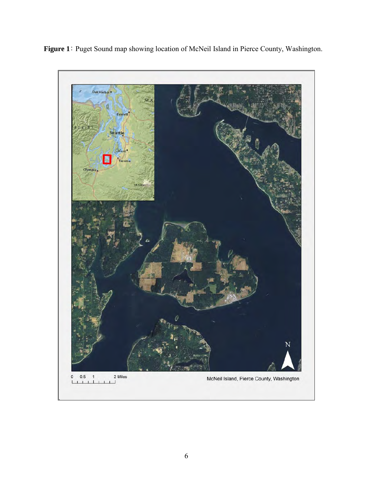**Figure 1**: Puget Sound map showing location of McNeil Island in Pierce County, Washington.

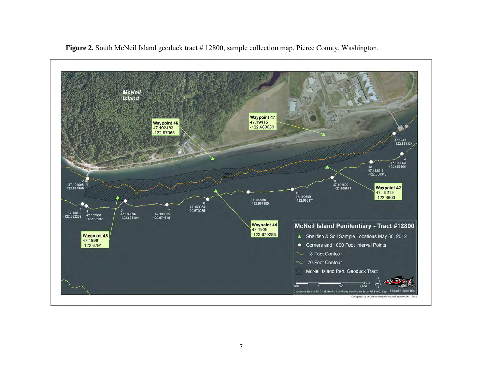

**Figure 2.** South McNeil Island geoduck tract # 12800, sample collection map, Pierce County, Washington.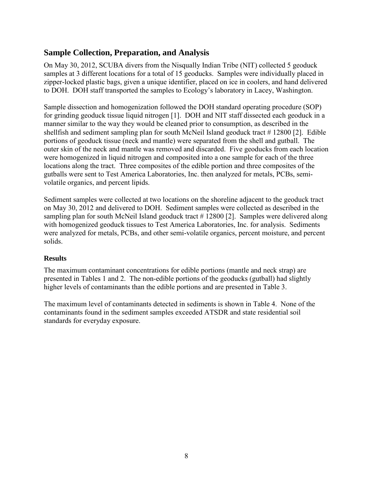# <span id="page-8-0"></span>**Sample Collection, Preparation, and Analysis**

On May 30, 2012, SCUBA divers from the Nisqually Indian Tribe (NIT) collected 5 geoduck samples at 3 different locations for a total of 15 geoducks. Samples were individually placed in zipper-locked plastic bags, given a unique identifier, placed on ice in coolers, and hand delivered to DOH. DOH staff transported the samples to Ecology's laboratory in Lacey, Washington.

Sample dissection and homogenization followed the DOH standard operating procedure (SOP) for grinding geoduck tissue liquid nitrogen [1]. DOH and NIT staff dissected each geoduck in a manner similar to the way they would be cleaned prior to consumption, as described in the shellfish and sediment sampling plan for south McNeil Island geoduck tract # 12800 [2]. Edible portions of geoduck tissue (neck and mantle) were separated from the shell and gutball. The outer skin of the neck and mantle was removed and discarded. Five geoducks from each location were homogenized in liquid nitrogen and composited into a one sample for each of the three locations along the tract. Three composites of the edible portion and three composites of the gutballs were sent to Test America Laboratories, Inc. then analyzed for metals, PCBs, semivolatile organics, and percent lipids.

Sediment samples were collected at two locations on the shoreline adjacent to the geoduck tract on May 30, 2012 and delivered to DOH. Sediment samples were collected as described in the sampling plan for south McNeil Island geoduck tract #12800 [2]. Samples were delivered along with homogenized geoduck tissues to Test America Laboratories, Inc. for analysis. Sediments were analyzed for metals, PCBs, and other semi-volatile organics, percent moisture, and percent solids.

#### <span id="page-8-1"></span>**Results**

The maximum contaminant concentrations for edible portions (mantle and neck strap) are presented in Tables 1 and 2. The non-edible portions of the geoducks (gutball) had slightly higher levels of contaminants than the edible portions and are presented in Table 3.

The maximum level of contaminants detected in sediments is shown in Table 4. None of the contaminants found in the sediment samples exceeded ATSDR and state residential soil standards for everyday exposure.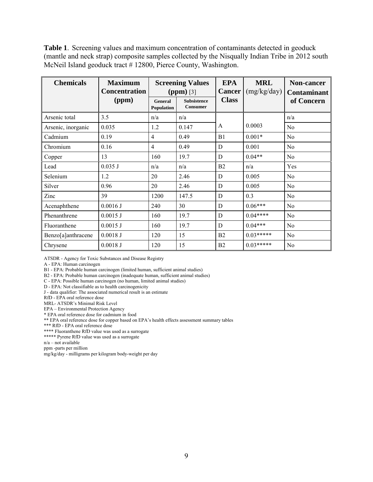**Table 1**. Screening values and maximum concentration of contaminants detected in geoduck (mantle and neck strap) composite samples collected by the Nisqually Indian Tribe in 2012 south McNeil Island geoduck tract # 12800, Pierce County, Washington.

| <b>Chemicals</b>   | <b>Maximum</b><br><b>Concentration</b> | <b>Screening Values</b><br>$(ppm)$ [3] |                                       | <b>EPA</b><br><b>Cancer</b> | <b>MRL</b><br>(mg/kg/day) | Non-cancer<br><b>Contaminant</b> |
|--------------------|----------------------------------------|----------------------------------------|---------------------------------------|-----------------------------|---------------------------|----------------------------------|
|                    | (ppm)                                  | General<br>Population                  | <b>Subsistence</b><br><b>Consumer</b> | <b>Class</b>                |                           | of Concern                       |
| Arsenic total      | 3.5                                    | n/a                                    | n/a                                   |                             |                           | n/a                              |
| Arsenic, inorganic | 0.035                                  | 1.2                                    | 0.147                                 | A                           | 0.0003                    | N <sub>o</sub>                   |
| Cadmium            | 0.19                                   | $\overline{4}$                         | 0.49                                  | B1                          | $0.001*$                  | N <sub>0</sub>                   |
| Chromium           | 0.16                                   | $\overline{4}$                         | 0.49                                  | D                           | 0.001                     | N <sub>0</sub>                   |
| Copper             | 13                                     | 160                                    | 19.7                                  | D                           | $0.04**$                  | No                               |
| Lead               | 0.035J                                 | n/a                                    | n/a                                   | B <sub>2</sub>              | n/a                       | Yes                              |
| Selenium           | 1.2                                    | 20                                     | 2.46                                  | D                           | 0.005                     | No                               |
| Silver             | 0.96                                   | 20                                     | 2.46                                  | D                           | 0.005                     | No                               |
| Zinc               | 39                                     | 1200                                   | 147.5                                 | D                           | 0.3                       | No                               |
| Acenaphthene       | 0.0016J                                | 240                                    | 30                                    | D                           | $0.06***$                 | No                               |
| Phenanthrene       | $0.0015$ J                             | 160                                    | 19.7                                  | D                           | $0.04***$                 | No                               |
| Fluoranthene       | $0.0015$ J                             | 160                                    | 19.7                                  | D                           | $0.04***$                 | N <sub>0</sub>                   |
| Benzo[a]anthracene | $0.0018$ J                             | 120                                    | 15                                    | B <sub>2</sub>              | $0.03*****$               | No                               |
| Chrysene           | 0.0018J                                | 120                                    | 15                                    | B <sub>2</sub>              | $0.03*****$               | N <sub>0</sub>                   |

ATSDR - Agency for Toxic Substances and Disease Registry

A - EPA: Human carcinogen

B1 - EPA: Probable human carcinogen (limited human, sufficient animal studies)

B2 - EPA: Probable human carcinogen (inadequate human, sufficient animal studies)

C - EPA: Possible human carcinogen (no human, limited animal studies)

D - EPA: Not classifiable as to health carcinogenicity

J - data qualifier: The associated numerical result is an estimate

RfD - EPA oral reference dose

MRL- ATSDR's Minimal Risk Level

EPA – Environmental Protection Agency

\* EPA oral reference dose for cadmium in food

\*\* EPA oral reference dose for copper based on EPA's health effects assessment summary tables

\*\*\* RfD - EPA oral reference dose

\*\*\*\* Fluoranthene RfD value was used as a surrogate

\*\*\*\*\* Pyrene RfD value was used as a surrogate

n/a – not available

ppm -parts per million

mg/kg/day - milligrams per kilogram body-weight per day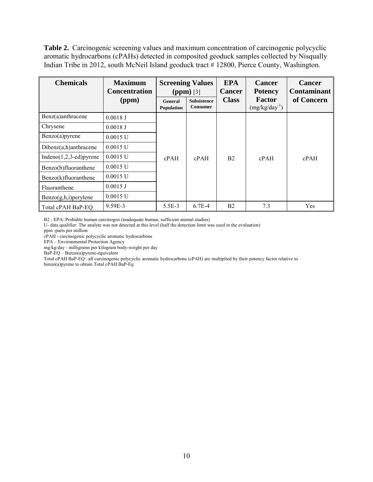**Table 2.** Carcinogenic screening values and maximum concentration of carcinogenic polycyclic aromatic hydrocarbons (cPAHs) detected in composited geoduck samples collected by Nisqually Indian Tribe in 2012, south McNeil Island geoduck tract # 12800, Pierce County, Washington.

| <b>Chemicals</b>            | <b>Maximum</b><br><b>Concentration</b> | <b>Screening Values</b><br>$(ppm)$ [3] |                                       | <b>EPA</b><br><b>Cancer</b> | <b>Cancer</b><br><b>Potency</b> | <b>Cancer</b><br><b>Contaminant</b> |
|-----------------------------|----------------------------------------|----------------------------------------|---------------------------------------|-----------------------------|---------------------------------|-------------------------------------|
|                             | (ppm)                                  | <b>General</b><br><b>Population</b>    | <b>Subsistence</b><br><b>Consumer</b> | <b>Class</b>                | Factor<br>$(mg/kg/day^{-1})$    | of Concern                          |
| Benz(a)anthracene           | 0.0018J                                |                                        |                                       |                             |                                 |                                     |
| Chrysene                    | $0.0018$ J                             |                                        |                                       |                             |                                 |                                     |
| $Benzo(a)$ pyrene           | $0.0015$ U                             |                                        |                                       |                             |                                 |                                     |
| $Dibenz(a,h)$ anthracene    | $0.0015$ U                             |                                        |                                       |                             |                                 |                                     |
| Indeno $(1,2,3$ -cd) pyrene | $0.0015$ U                             | cPAH                                   | cPAH                                  | B <sub>2</sub>              | cPAH                            | cPAH                                |
| Benzo(b)fluoranthene        | $0.0015$ U                             |                                        |                                       |                             |                                 |                                     |
| Benzo(k)fluoranthene        | $0.0015$ U                             |                                        |                                       |                             |                                 |                                     |
| Fluoranthene                | $0.0015$ J                             |                                        |                                       |                             |                                 |                                     |
| Benzo(g,h,i)perylene        | $0.0015$ U                             |                                        |                                       |                             |                                 |                                     |
| Total cPAH BaP-EQ           | 9.59E-3                                | $5.5E-3$                               | $6.7E-4$                              | B <sub>2</sub>              | 7.3                             | Yes                                 |

B2 - EPA: Probable human carcinogen (inadequate human, sufficient animal studies)

U- data qualifier: The analyte was not detected at this level (half the detection limit was used in the evaluation)

ppm -parts per million

cPAH - carcinogenic polycyclic aromatic hydrocarbons

EPA – Environmental Protection Agency

mg/kg/day - milligrams per kilogram body-weight per day

BaP-EQ – Benzo(a)pyrene-equivalent

Total cPAH BaP-EQ –all carcinogenic polycyclic aromatic hydrocarbons (cPAH) are multiplied by their potency factor relative to benzo(a)pyrene to obtain Total cPAH BaP-Eq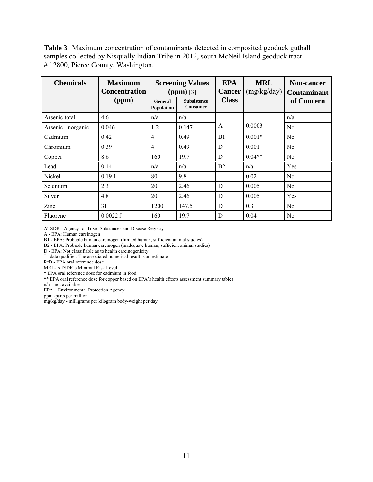**Table 3**. Maximum concentration of contaminants detected in composited geoduck gutball samples collected by Nisqually Indian Tribe in 2012, south McNeil Island geoduck tract # 12800, Pierce County, Washington.

| <b>Chemicals</b>   | <b>Maximum</b><br><b>Concentration</b> | <b>Screening Values</b><br>$(ppm)$ [3] |                                | <b>EPA</b><br><b>Cancer</b> | <b>MRL</b><br>(mg/kg/day) | <b>Non-cancer</b><br><b>Contaminant</b> |
|--------------------|----------------------------------------|----------------------------------------|--------------------------------|-----------------------------|---------------------------|-----------------------------------------|
|                    | (ppm)                                  | General<br>Population                  | <b>Subsistence</b><br>Consumer | <b>Class</b>                |                           | of Concern                              |
| Arsenic total      | 4.6                                    | n/a                                    | n/a                            |                             |                           | n/a                                     |
| Arsenic, inorganic | 0.046                                  | 1.2                                    | 0.147                          | A                           | 0.0003                    | N <sub>0</sub>                          |
| Cadmium            | 0.42                                   | $\overline{4}$                         | 0.49                           | B <sub>1</sub>              | $0.001*$                  | No                                      |
| Chromium           | 0.39                                   | $\overline{4}$                         | 0.49                           | D                           | 0.001                     | N <sub>0</sub>                          |
| Copper             | 8.6                                    | 160                                    | 19.7                           | D                           | $0.04**$                  | N <sub>0</sub>                          |
| Lead               | 0.14                                   | n/a                                    | n/a                            | B <sub>2</sub>              | n/a                       | Yes                                     |
| Nickel             | 0.19J                                  | 80                                     | 9.8                            |                             | 0.02                      | N <sub>0</sub>                          |
| Selenium           | 2.3                                    | 20                                     | 2.46                           | D                           | 0.005                     | N <sub>0</sub>                          |
| Silver             | 4.8                                    | 20                                     | 2.46                           | D                           | 0.005                     | Yes                                     |
| Zinc               | 31                                     | 1200                                   | 147.5                          | D                           | 0.3                       | No                                      |
| Fluorene           | $0.0022$ J                             | 160                                    | 19.7                           | D                           | 0.04                      | No                                      |

ATSDR - Agency for Toxic Substances and Disease Registry

A - EPA: Human carcinogen

B1 - EPA: Probable human carcinogen (limited human, sufficient animal studies)

B2 - EPA: Probable human carcinogen (inadequate human, sufficient animal studies)

D - EPA: Not classifiable as to health carcinogenicity

J - data qualifier: The associated numerical result is an estimate

RfD - EPA oral reference dose

MRL- ATSDR's Minimal Risk Level

\* EPA oral reference dose for cadmium in food

\*\* EPA oral reference dose for copper based on EPA's health effects assessment summary tables

n/a – not available

EPA – Environmental Protection Agency

ppm -parts per million

mg/kg/day - milligrams per kilogram body-weight per day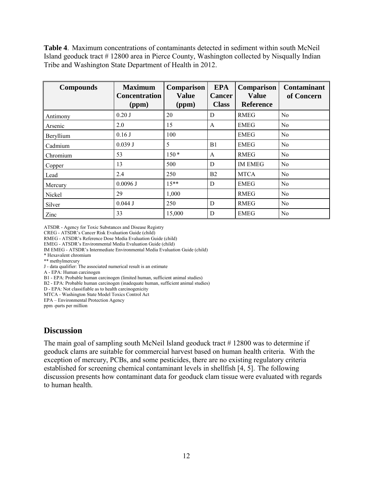**Table 4**. Maximum concentrations of contaminants detected in sediment within south McNeil Island geoduck tract # 12800 area in Pierce County, Washington collected by Nisqually Indian Tribe and Washington State Department of Health in 2012.

| <b>Compounds</b> | <b>Maximum</b><br><b>Concentration</b><br>(ppm) | <b>Comparison</b><br><b>Value</b><br>(ppm) | <b>EPA</b><br><b>Cancer</b><br><b>Class</b> | <b>Comparison</b><br><b>Value</b><br><b>Reference</b> | <b>Contaminant</b><br>of Concern |
|------------------|-------------------------------------------------|--------------------------------------------|---------------------------------------------|-------------------------------------------------------|----------------------------------|
| Antimony         | $0.20$ J                                        | 20                                         | D                                           | <b>RMEG</b>                                           | N <sub>0</sub>                   |
| Arsenic          | 2.0                                             | 15                                         | A                                           | <b>EMEG</b>                                           | N <sub>0</sub>                   |
| Beryllium        | $0.16$ J                                        | 100                                        |                                             | <b>EMEG</b>                                           | No                               |
| Cadmium          | 0.039 J                                         | 5                                          | B1                                          | <b>EMEG</b>                                           | N <sub>0</sub>                   |
| Chromium         | 53                                              | $150*$                                     | A                                           | <b>RMEG</b>                                           | N <sub>0</sub>                   |
| Copper           | 13                                              | 500                                        | D                                           | <b>IM EMEG</b>                                        | N <sub>0</sub>                   |
| Lead             | 2.4                                             | 250                                        | <b>B2</b>                                   | <b>MTCA</b>                                           | N <sub>0</sub>                   |
| Mercury          | $0.0096$ J                                      | $15**$                                     | D                                           | <b>EMEG</b>                                           | N <sub>0</sub>                   |
| Nickel           | 29                                              | 1,000                                      |                                             | <b>RMEG</b>                                           | No                               |
| Silver           | $0.044$ J                                       | 250                                        | D                                           | <b>RMEG</b>                                           | N <sub>0</sub>                   |
| Zinc             | 33                                              | 15,000                                     | D                                           | <b>EMEG</b>                                           | N <sub>0</sub>                   |

ATSDR - Agency for Toxic Substances and Disease Registry

CREG - ATSDR's Cancer Risk Evaluation Guide (child)

RMEG - ATSDR's Reference Dose Media Evaluation Guide (child)

EMEG - ATSDR's Environmental Media Evaluation Guide (child)

IM EMEG - ATSDR's Intermediate Environmental Media Evaluation Guide (child)

\* Hexavalent chromium

\*\* methylmercury

J - data qualifier: The associated numerical result is an estimate

A - EPA: Human carcinogen

B1 - EPA: Probable human carcinogen (limited human, sufficient animal studies)

B2 - EPA: Probable human carcinogen (inadequate human, sufficient animal studies)

D - EPA: Not classifiable as to health carcinogenicity

MTCA - Washington State Model Toxics Control Act

EPA – Environmental Protection Agency

ppm -parts per million

# <span id="page-12-0"></span>**Discussion**

The main goal of sampling south McNeil Island geoduck tract # 12800 was to determine if geoduck clams are suitable for commercial harvest based on human health criteria. With the exception of mercury, PCBs, and some pesticides, there are no existing regulatory criteria established for screening chemical contaminant levels in shellfish [4, 5]. The following discussion presents how contaminant data for geoduck clam tissue were evaluated with regards to human health.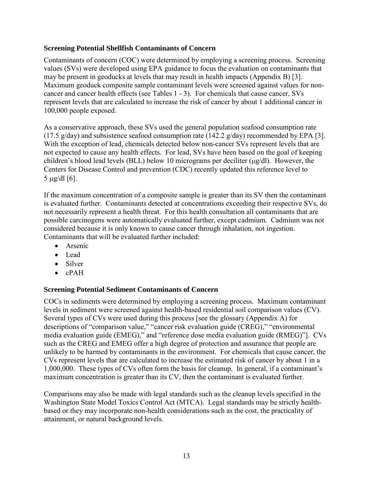#### <span id="page-13-0"></span>**Screening Potential Shellfish Contaminants of Concern**

Contaminants of concern (COC) were determined by employing a screening process. Screening values (SVs) were developed using EPA guidance to focus the evaluation on contaminants that may be present in geoducks at levels that may result in health impacts (Appendix B) [3]. Maximum geoduck composite sample contaminant levels were screened against values for noncancer and cancer health effects (see Tables 1 - 3). For chemicals that cause cancer, SVs represent levels that are calculated to increase the risk of cancer by about 1 additional cancer in 100,000 people exposed.

As a conservative approach, these SVs used the general population seafood consumption rate (17.5 g/day) and subsistence seafood consumption rate (142.2 g/day) recommended by EPA [3]. With the exception of lead, chemicals detected below non-cancer SVs represent levels that are not expected to cause any health effects. For lead, SVs have been based on the goal of keeping children's blood lead levels (BLL) below 10 micrograms per deciliter  $(\mu g/d)$ . However, the Centers for Disease Control and prevention (CDC) recently updated this reference level to 5 µg/dl [6].

If the maximum concentration of a composite sample is greater than its SV then the contaminant is evaluated further. Contaminants detected at concentrations exceeding their respective SVs, do not necessarily represent a health threat. For this health consultation all contaminants that are possible carcinogens were automatically evaluated further, except cadmium. Cadmium was not considered because it is only known to cause cancer through inhalation, not ingestion. Contaminants that will be evaluated further included:

- Arsenic
- Lead
- Silver
- cPAH

## <span id="page-13-1"></span>**Screening Potential Sediment Contaminants of Concern**

COCs in sediments were determined by employing a screening process. Maximum contaminant levels in sediment were screened against health-based residential soil comparison values (CV). Several types of CVs were used during this process [see the glossary (Appendix A) for descriptions of "comparison value," "cancer risk evaluation guide (CREG)," "environmental media evaluation guide (EMEG)," and "reference dose media evaluation guide (RMEG)"]. CVs such as the CREG and EMEG offer a high degree of protection and assurance that people are unlikely to be harmed by contaminants in the environment. For chemicals that cause cancer, the CVs represent levels that are calculated to increase the estimated risk of cancer by about 1 in a 1,000,000. These types of CVs often form the basis for cleanup. In general, if a contaminant's maximum concentration is greater than its CV, then the contaminant is evaluated further.

Comparisons may also be made with legal standards such as the cleanup levels specified in the Washington State Model Toxics Control Act (MTCA). Legal standards may be strictly healthbased or they may incorporate non-health considerations such as the cost, the practicality of attainment, or natural background levels.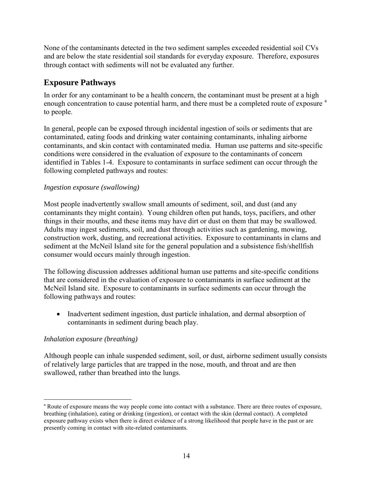None of the contaminants detected in the two sediment samples exceeded residential soil CVs and are below the state residential soil standards for everyday exposure. Therefore, exposures through contact with sediments will not be evaluated any further.

# <span id="page-14-0"></span>**Exposure Pathways**

In order for any contaminant to be a health concern, the contaminant must be present at a high enough concentr[a](#page-1-1)tion to cause potential harm, and there must be a completed route of exposure <sup>a</sup> to people.

In general, people can be exposed through incidental ingestion of soils or sediments that are contaminated, eating foods and drinking water containing contaminants, inhaling airborne contaminants, and skin contact with contaminated media. Human use patterns and site-specific conditions were considered in the evaluation of exposure to the contaminants of concern identified in Tables 1-4. Exposure to contaminants in surface sediment can occur through the following completed pathways and routes:

## *Ingestion exposure (swallowing)*

Most people inadvertently swallow small amounts of sediment, soil, and dust (and any contaminants they might contain). Young children often put hands, toys, pacifiers, and other things in their mouths, and these items may have dirt or dust on them that may be swallowed. Adults may ingest sediments, soil, and dust through activities such as gardening, mowing, construction work, dusting, and recreational activities. Exposure to contaminants in clams and sediment at the McNeil Island site for the general population and a subsistence fish/shellfish consumer would occurs mainly through ingestion.

The following discussion addresses additional human use patterns and site-specific conditions that are considered in the evaluation of exposure to contaminants in surface sediment at the McNeil Island site. Exposure to contaminants in surface sediments can occur through the following pathways and routes:

• Inadvertent sediment ingestion, dust particle inhalation, and dermal absorption of contaminants in sediment during beach play.

## *Inhalation exposure (breathing)*

Although people can inhale suspended sediment, soil, or dust, airborne sediment usually consists of relatively large particles that are trapped in the nose, mouth, and throat and are then swallowed, rather than breathed into the lungs.

 $\overline{a}$ <sup>a</sup> Route of exposure means the way people come into contact with a substance. There are three routes of exposure, breathing (inhalation), eating or drinking (ingestion), or contact with the skin (dermal contact). A completed exposure pathway exists when there is direct evidence of a strong likelihood that people have in the past or are presently coming in contact with site-related contaminants.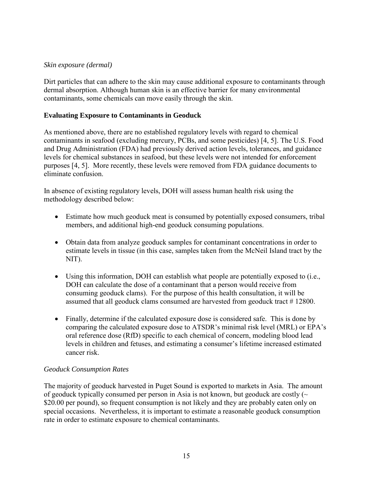#### *Skin exposure (dermal)*

Dirt particles that can adhere to the skin may cause additional exposure to contaminants through dermal absorption. Although human skin is an effective barrier for many environmental contaminants, some chemicals can move easily through the skin.

#### **Evaluating Exposure to Contaminants in Geoduck**

As mentioned above, there are no established regulatory levels with regard to chemical contaminants in seafood (excluding mercury, PCBs, and some pesticides) [4, 5]. The U.S. Food and Drug Administration (FDA) had previously derived action levels, tolerances, and guidance levels for chemical substances in seafood, but these levels were not intended for enforcement purposes [4, 5]. More recently, these levels were removed from FDA guidance documents to eliminate confusion.

In absence of existing regulatory levels, DOH will assess human health risk using the methodology described below:

- Estimate how much geoduck meat is consumed by potentially exposed consumers, tribal members, and additional high-end geoduck consuming populations.
- Obtain data from analyze geoduck samples for contaminant concentrations in order to estimate levels in tissue (in this case, samples taken from the McNeil Island tract by the NIT).
- Using this information, DOH can establish what people are potentially exposed to (i.e., DOH can calculate the dose of a contaminant that a person would receive from consuming geoduck clams). For the purpose of this health consultation, it will be assumed that all geoduck clams consumed are harvested from geoduck tract # 12800.
- Finally, determine if the calculated exposure dose is considered safe. This is done by comparing the calculated exposure dose to ATSDR's minimal risk level (MRL) or EPA's oral reference dose (RfD) specific to each chemical of concern, modeling blood lead levels in children and fetuses, and estimating a consumer's lifetime increased estimated cancer risk.

#### *Geoduck Consumption Rates*

The majority of geoduck harvested in Puget Sound is exported to markets in Asia. The amount of geoduck typically consumed per person in Asia is not known, but geoduck are costly  $(\sim$ \$20.00 per pound), so frequent consumption is not likely and they are probably eaten only on special occasions. Nevertheless, it is important to estimate a reasonable geoduck consumption rate in order to estimate exposure to chemical contaminants.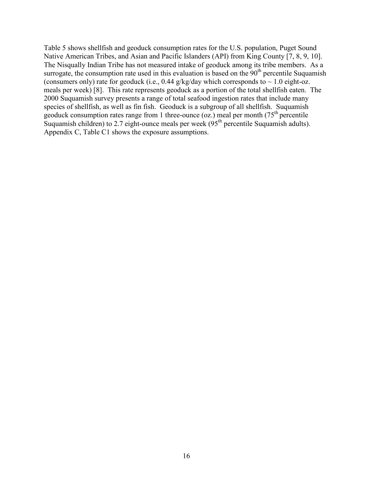Table 5 shows shellfish and geoduck consumption rates for the U.S. population, Puget Sound Native American Tribes, and Asian and Pacific Islanders (API) from King County [7, 8, 9, 10]. The Nisqually Indian Tribe has not measured intake of geoduck among its tribe members. As a surrogate, the consumption rate used in this evaluation is based on the  $90<sup>th</sup>$  percentile Suquamish (consumers only) rate for geoduck (i.e., 0.44 g/kg/day which corresponds to  $\sim 1.0$  eight-oz. meals per week) [8]. This rate represents geoduck as a portion of the total shellfish eaten. The 2000 Suquamish survey presents a range of total seafood ingestion rates that include many species of shellfish, as well as fin fish. Geoduck is a subgroup of all shellfish. Suquamish geoduck consumption rates range from 1 three-ounce (oz.) meal per month ( $75<sup>th</sup>$  percentile Suquamish children) to 2.7 eight-ounce meals per week  $(95<sup>th</sup>$  percentile Suquamish adults). Appendix C, Table C1 shows the exposure assumptions.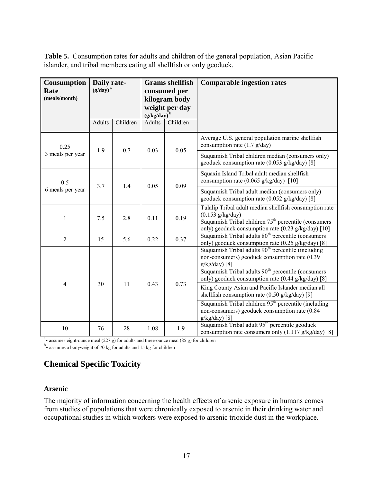**Table 5.** Consumption rates for adults and children of the general population, Asian Pacific islander, and tribal members eating all shellfish or only geoduck.

| Consumption<br>Rate<br>(meals/month) | Daily rate-<br>$(g/day)^a$ |          | <b>Grams</b> shellfish<br>consumed per<br>kilogram body<br>weight per day<br>$(g/kg/day)^b$ |          | <b>Comparable ingestion rates</b>                                                                                                                                                                     |                                                                                                                            |  |  |                                                                                                                |
|--------------------------------------|----------------------------|----------|---------------------------------------------------------------------------------------------|----------|-------------------------------------------------------------------------------------------------------------------------------------------------------------------------------------------------------|----------------------------------------------------------------------------------------------------------------------------|--|--|----------------------------------------------------------------------------------------------------------------|
|                                      | Adults                     | Children | <b>Adults</b>                                                                               | Children |                                                                                                                                                                                                       |                                                                                                                            |  |  |                                                                                                                |
| 0.25                                 | 1.9                        | 0.7      | 0.03                                                                                        | 0.05     | Average U.S. general population marine shellfish<br>consumption rate $(1.7 \text{ g/day})$                                                                                                            |                                                                                                                            |  |  |                                                                                                                |
| 3 meals per year                     |                            |          |                                                                                             |          | Suquamish Tribal children median (consumers only)<br>geoduck consumption rate (0.053 g/kg/day) [8]                                                                                                    |                                                                                                                            |  |  |                                                                                                                |
| 0.5                                  | 3.7                        | 1.4      | 0.05                                                                                        | 0.09     | Squaxin Island Tribal adult median shellfish<br>consumption rate (0.065 g/kg/day) [10]                                                                                                                |                                                                                                                            |  |  |                                                                                                                |
| 6 meals per year                     |                            |          |                                                                                             |          | Suquamish Tribal adult median (consumers only)<br>geoduck consumption rate (0.052 g/kg/day) [8]                                                                                                       |                                                                                                                            |  |  |                                                                                                                |
| 1                                    | 7.5                        | 2.8      | 0.11                                                                                        | 0.19     | Tulalip Tribal adult median shellfish consumption rate<br>$(0.153 \text{ g/kg/day})$<br>Suquamish Tribal children $75th$ percentile (consumers<br>only) geoduck consumption rate (0.23 g/kg/day) [10] |                                                                                                                            |  |  |                                                                                                                |
| $\overline{2}$                       | 15                         | 5.6      | 0.22                                                                                        | 0.37     | Suquamish Tribal adults 80 <sup>th</sup> percentile (consumers)<br>only) geoduck consumption rate (0.25 g/kg/day) [8]                                                                                 |                                                                                                                            |  |  |                                                                                                                |
|                                      |                            |          |                                                                                             |          | Suquamish Tribal adults 90 <sup>th</sup> percentile (including<br>non-consumers) geoduck consumption rate (0.39<br>$g/kg/day)$ [8]                                                                    |                                                                                                                            |  |  |                                                                                                                |
|                                      |                            |          |                                                                                             |          | Suquamish Tribal adults 90 <sup>th</sup> percentile (consumers<br>only) geoduck consumption rate (0.44 g/kg/day) [8]                                                                                  |                                                                                                                            |  |  |                                                                                                                |
| $\overline{4}$                       | 30                         | 11       |                                                                                             | 0.43     |                                                                                                                                                                                                       | 0.73                                                                                                                       |  |  | King County Asian and Pacific Islander median all<br>shell fish consumption rate $(0.50 \text{ g/kg/day})$ [9] |
|                                      |                            |          |                                                                                             |          |                                                                                                                                                                                                       | Suquamish Tribal children $95th$ percentile (including<br>non-consumers) geoduck consumption rate (0.84<br>$g/kg/day)$ [8] |  |  |                                                                                                                |
| 10                                   | 76                         | 28       | 1.08                                                                                        | 1.9      | Suquamish Tribal adult 95 <sup>th</sup> percentile geoduck<br>consumption rate consumers only $(1.117 \frac{g}{kg/day})$ [8]                                                                          |                                                                                                                            |  |  |                                                                                                                |

 $a<sup>a</sup>$  assumes eight-ounce meal (227 g) for adults and three-ounce meal (85 g) for children

<sup>b</sup>- assumes a bodyweight of 70 kg for adults and 15 kg for children

# <span id="page-17-0"></span>**Chemical Specific Toxicity**

#### <span id="page-17-1"></span>**Arsenic**

The majority of information concerning the health effects of arsenic exposure in humans comes from studies of populations that were chronically exposed to arsenic in their drinking water and occupational studies in which workers were exposed to arsenic trioxide dust in the workplace.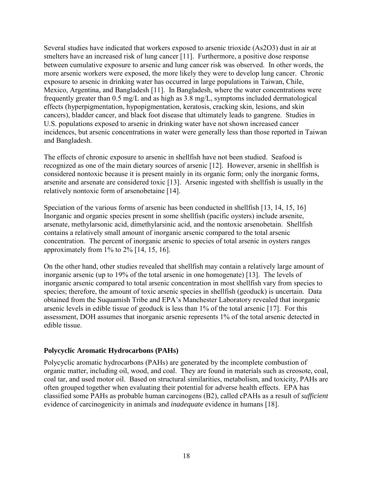Several studies have indicated that workers exposed to arsenic trioxide (As2O3) dust in air at smelters have an increased risk of lung cancer [11]. Furthermore, a positive dose response between cumulative exposure to arsenic and lung cancer risk was observed. In other words, the more arsenic workers were exposed, the more likely they were to develop lung cancer. Chronic exposure to arsenic in drinking water has occurred in large populations in Taiwan, Chile, Mexico, Argentina, and Bangladesh [11]. In Bangladesh, where the water concentrations were frequently greater than 0.5 mg/L and as high as 3.8 mg/L, symptoms included dermatological effects (hyperpigmentation, hypopigmentation, keratosis, cracking skin, lesions, and skin cancers), bladder cancer, and black foot disease that ultimately leads to gangrene. Studies in U.S. populations exposed to arsenic in drinking water have not shown increased cancer incidences, but arsenic concentrations in water were generally less than those reported in Taiwan and Bangladesh.

The effects of chronic exposure to arsenic in shellfish have not been studied. Seafood is recognized as one of the main dietary sources of arsenic [12]. However, arsenic in shellfish is considered nontoxic because it is present mainly in its organic form; only the inorganic forms, arsenite and arsenate are considered toxic [13]. Arsenic ingested with shellfish is usually in the relatively nontoxic form of arsenobetaine [14].

Speciation of the various forms of arsenic has been conducted in shellfish [13, 14, 15, 16] Inorganic and organic species present in some shellfish (pacific oysters) include arsenite, arsenate, methylarsonic acid, dimethylarsinic acid, and the nontoxic arsenobetain. Shellfish contains a relatively small amount of inorganic arsenic compared to the total arsenic concentration. The percent of inorganic arsenic to species of total arsenic in oysters ranges approximately from  $1\%$  to  $2\%$  [14, 15, 16].

On the other hand, other studies revealed that shellfish may contain a relatively large amount of inorganic arsenic (up to 19% of the total arsenic in one homogenate) [13]. The levels of inorganic arsenic compared to total arsenic concentration in most shellfish vary from species to species; therefore, the amount of toxic arsenic species in shellfish (geoduck) is uncertain. Data obtained from the Suquamish Tribe and EPA's Manchester Laboratory revealed that inorganic arsenic levels in edible tissue of geoduck is less than 1% of the total arsenic [17]. For this assessment, DOH assumes that inorganic arsenic represents 1% of the total arsenic detected in edible tissue.

#### <span id="page-18-0"></span>**Polycyclic Aromatic Hydrocarbons (PAHs)**

Polycyclic aromatic hydrocarbons (PAHs) are generated by the incomplete combustion of organic matter, including oil, wood, and coal. They are found in materials such as creosote, coal, coal tar, and used motor oil. Based on structural similarities, metabolism, and toxicity, PAHs are often grouped together when evaluating their potential for adverse health effects. EPA has classified some PAHs as probable human carcinogens (B2), called cPAHs as a result of *sufficient*  evidence of carcinogenicity in animals and *inadequate* evidence in humans [18].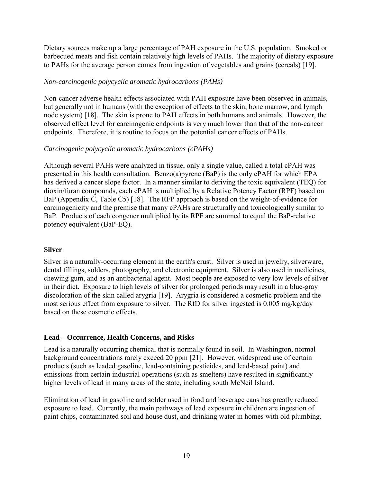Dietary sources make up a large percentage of PAH exposure in the U.S. population. Smoked or barbecued meats and fish contain relatively high levels of PAHs. The majority of dietary exposure to PAHs for the average person comes from ingestion of vegetables and grains (cereals) [19].

#### *Non-carcinogenic polycyclic aromatic hydrocarbons (PAHs)*

Non-cancer adverse health effects associated with PAH exposure have been observed in animals, but generally not in humans (with the exception of effects to the skin, bone marrow, and lymph node system) [18]. The skin is prone to PAH effects in both humans and animals. However, the observed effect level for carcinogenic endpoints is very much lower than that of the non-cancer endpoints. Therefore, it is routine to focus on the potential cancer effects of PAHs.

#### *Carcinogenic polycyclic aromatic hydrocarbons (cPAHs)*

Although several PAHs were analyzed in tissue, only a single value, called a total cPAH was presented in this health consultation. Benzo(a)pyrene (BaP) is the only cPAH for which EPA has derived a cancer slope factor. In a manner similar to deriving the toxic equivalent (TEQ) for dioxin/furan compounds, each cPAH is multiplied by a Relative Potency Factor (RPF) based on BaP (Appendix C, Table C5) [18]. The RFP approach is based on the weight-of-evidence for carcinogenicity and the premise that many cPAHs are structurally and toxicologically similar to BaP. Products of each congener multiplied by its RPF are summed to equal the BaP-relative potency equivalent (BaP-EQ).

#### <span id="page-19-0"></span>**Silver**

Silver is a naturally-occurring element in the earth's crust. Silver is used in jewelry, silverware, dental fillings, solders, photography, and electronic equipment. Silver is also used in medicines, chewing gum, and as an antibacterial agent. Most people are exposed to very low levels of silver in their diet. Exposure to high levels of silver for prolonged periods may result in a blue-gray discoloration of the skin called arygria [19]. Arygria is considered a cosmetic problem and the most serious effect from exposure to silver. The RfD for silver ingested is 0.005 mg/kg/day based on these cosmetic effects.

#### <span id="page-19-1"></span>**Lead – Occurrence, Health Concerns, and Risks**

Lead is a naturally occurring chemical that is normally found in soil. In Washington, normal background concentrations rarely exceed 20 ppm [21]. However, widespread use of certain products (such as leaded gasoline, lead-containing pesticides, and lead-based paint) and emissions from certain industrial operations (such as smelters) have resulted in significantly higher levels of lead in many areas of the state, including south McNeil Island.

Elimination of lead in gasoline and solder used in food and beverage cans has greatly reduced exposure to lead. Currently, the main pathways of lead exposure in children are ingestion of paint chips, contaminated soil and house dust, and drinking water in homes with old plumbing.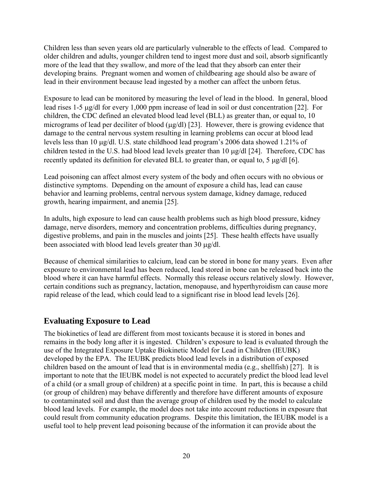Children less than seven years old are particularly vulnerable to the effects of lead. Compared to older children and adults, younger children tend to ingest more dust and soil, absorb significantly more of the lead that they swallow, and more of the lead that they absorb can enter their developing brains. Pregnant women and women of childbearing age should also be aware of lead in their environment because lead ingested by a mother can affect the unborn fetus.

Exposure to lead can be monitored by measuring the level of lead in the blood. In general, blood lead rises 1-5 µg/dl for every 1,000 ppm increase of lead in soil or dust concentration [22]. For children, the CDC defined an elevated blood lead level (BLL) as greater than, or equal to, 10 micrograms of lead per deciliter of blood ( $\mu$ g/dl) [23]. However, there is growing evidence that damage to the central nervous system resulting in learning problems can occur at blood lead levels less than 10 µg/dl. U.S. state childhood lead program's 2006 data showed 1.21% of children tested in the U.S. had blood lead levels greater than 10 µg/dl [24]. Therefore, CDC has recently updated its definition for elevated BLL to greater than, or equal to, 5 µg/dl [6].

Lead poisoning can affect almost every system of the body and often occurs with no obvious or distinctive symptoms. Depending on the amount of exposure a child has, lead can cause behavior and learning problems, central nervous system damage, kidney damage, reduced growth, hearing impairment, and anemia [25].

In adults, high exposure to lead can cause health problems such as high blood pressure, kidney damage, nerve disorders, memory and concentration problems, difficulties during pregnancy, digestive problems, and pain in the muscles and joints [25]. These health effects have usually been associated with blood lead levels greater than 30 µg/dl.

Because of chemical similarities to calcium, lead can be stored in bone for many years. Even after exposure to environmental lead has been reduced, lead stored in bone can be released back into the blood where it can have harmful effects. Normally this release occurs relatively slowly. However, certain conditions such as pregnancy, lactation, menopause, and hyperthyroidism can cause more rapid release of the lead, which could lead to a significant rise in blood lead levels [26].

# <span id="page-20-0"></span>**Evaluating Exposure to Lead**

The biokinetics of lead are different from most toxicants because it is stored in bones and remains in the body long after it is ingested. Children's exposure to lead is evaluated through the use of the Integrated Exposure Uptake Biokinetic Model for Lead in Children (IEUBK) developed by the EPA. The IEUBK predicts blood lead levels in a distribution of exposed children based on the amount of lead that is in environmental media (e.g., shellfish) [27]. It is important to note that the IEUBK model is not expected to accurately predict the blood lead level of a child (or a small group of children) at a specific point in time. In part, this is because a child (or group of children) may behave differently and therefore have different amounts of exposure to contaminated soil and dust than the average group of children used by the model to calculate blood lead levels. For example, the model does not take into account reductions in exposure that could result from community education programs. Despite this limitation, the IEUBK model is a useful tool to help prevent lead poisoning because of the information it can provide about the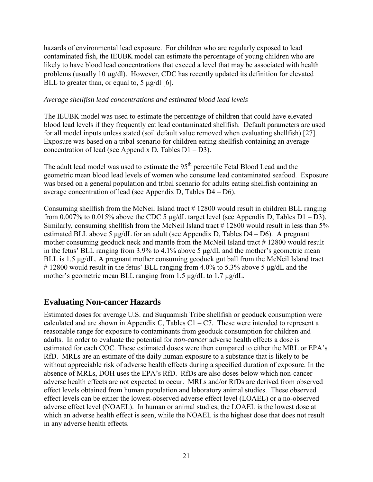hazards of environmental lead exposure. For children who are regularly exposed to lead contaminated fish, the IEUBK model can estimate the percentage of young children who are likely to have blood lead concentrations that exceed a level that may be associated with health problems (usually 10 µg/dl). However, CDC has recently updated its definition for elevated BLL to greater than, or equal to,  $5 \mu g/dl$  [6].

#### *Average shellfish lead concentrations and estimated blood lead levels*

The IEUBK model was used to estimate the percentage of children that could have elevated blood lead levels if they frequently eat lead contaminated shellfish. Default parameters are used for all model inputs unless stated (soil default value removed when evaluating shellfish) [27]. Exposure was based on a tribal scenario for children eating shellfish containing an average concentration of lead (see Appendix D, Tables D1 – D3).

The adult lead model was used to estimate the 95<sup>th</sup> percentile Fetal Blood Lead and the geometric mean blood lead levels of women who consume lead contaminated seafood. Exposure was based on a general population and tribal scenario for adults eating shellfish containing an average concentration of lead (see Appendix D, Tables D4 – D6).

Consuming shellfish from the McNeil Island tract # 12800 would result in children BLL ranging from 0.007% to 0.015% above the CDC 5  $\mu$ g/dL target level (see Appendix D, Tables D1 – D3). Similarly, consuming shellfish from the McNeil Island tract #12800 would result in less than 5% estimated BLL above 5  $\mu$ g/dL for an adult (see Appendix D, Tables D4 – D6). A pregnant mother consuming geoduck neck and mantle from the McNeil Island tract # 12800 would result in the fetus' BLL ranging from 3.9% to 4.1% above 5 μg/dL and the mother's geometric mean BLL is 1.5 μg/dL. A pregnant mother consuming geoduck gut ball from the McNeil Island tract # 12800 would result in the fetus' BLL ranging from 4.0% to 5.3% above 5 μg/dL and the mother's geometric mean BLL ranging from 1.5 μg/dL to 1.7 μg/dL.

# <span id="page-21-0"></span>**Evaluating Non-cancer Hazards**

Estimated doses for average U.S. and Suquamish Tribe shellfish or geoduck consumption were calculated and are shown in Appendix C, Tables  $C1 - C7$ . These were intended to represent a reasonable range for exposure to contaminants from geoduck consumption for children and adults. In order to evaluate the potential for *non-cancer* adverse health effects a dose is estimated for each COC. These estimated doses were then compared to either the MRL or EPA's RfD. MRLs are an estimate of the daily human exposure to a substance that is likely to be without appreciable risk of adverse health effects during a specified duration of exposure. In the absence of MRLs, DOH uses the EPA's RfD. RfDs are also doses below which non-cancer adverse health effects are not expected to occur. MRLs and/or RfDs are derived from observed effect levels obtained from human population and laboratory animal studies. These observed effect levels can be either the lowest-observed adverse effect level (LOAEL) or a no-observed adverse effect level (NOAEL). In human or animal studies, the LOAEL is the lowest dose at which an adverse health effect is seen, while the NOAEL is the highest dose that does not result in any adverse health effects.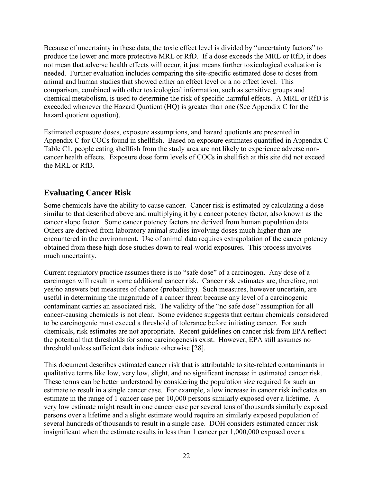Because of uncertainty in these data, the toxic effect level is divided by "uncertainty factors" to produce the lower and more protective MRL or RfD. If a dose exceeds the MRL or RfD, it does not mean that adverse health effects will occur, it just means further toxicological evaluation is needed. Further evaluation includes comparing the site-specific estimated dose to doses from animal and human studies that showed either an effect level or a no effect level. This comparison, combined with other toxicological information, such as sensitive groups and chemical metabolism, is used to determine the risk of specific harmful effects. A MRL or RfD is exceeded whenever the Hazard Quotient (HQ) is greater than one (See Appendix C for the hazard quotient equation).

Estimated exposure doses, exposure assumptions, and hazard quotients are presented in Appendix C for COCs found in shellfish. Based on exposure estimates quantified in Appendix C Table C1, people eating shellfish from the study area are not likely to experience adverse noncancer health effects. Exposure dose form levels of COCs in shellfish at this site did not exceed the MRL or RfD.

# <span id="page-22-0"></span>**Evaluating Cancer Risk**

Some chemicals have the ability to cause cancer. Cancer risk is estimated by calculating a dose similar to that described above and multiplying it by a cancer potency factor, also known as the cancer slope factor. Some cancer potency factors are derived from human population data. Others are derived from laboratory animal studies involving doses much higher than are encountered in the environment. Use of animal data requires extrapolation of the cancer potency obtained from these high dose studies down to real-world exposures. This process involves much uncertainty.

Current regulatory practice assumes there is no "safe dose" of a carcinogen. Any dose of a carcinogen will result in some additional cancer risk. Cancer risk estimates are, therefore, not yes/no answers but measures of chance (probability). Such measures, however uncertain, are useful in determining the magnitude of a cancer threat because any level of a carcinogenic contaminant carries an associated risk. The validity of the "no safe dose" assumption for all cancer-causing chemicals is not clear. Some evidence suggests that certain chemicals considered to be carcinogenic must exceed a threshold of tolerance before initiating cancer. For such chemicals, risk estimates are not appropriate. Recent guidelines on cancer risk from EPA reflect the potential that thresholds for some carcinogenesis exist. However, EPA still assumes no threshold unless sufficient data indicate otherwise [28].

This document describes estimated cancer risk that is attributable to site-related contaminants in qualitative terms like low, very low, slight, and no significant increase in estimated cancer risk. These terms can be better understood by considering the population size required for such an estimate to result in a single cancer case. For example, a low increase in cancer risk indicates an estimate in the range of 1 cancer case per 10,000 persons similarly exposed over a lifetime. A very low estimate might result in one cancer case per several tens of thousands similarly exposed persons over a lifetime and a slight estimate would require an similarly exposed population of several hundreds of thousands to result in a single case. DOH considers estimated cancer risk insignificant when the estimate results in less than 1 cancer per 1,000,000 exposed over a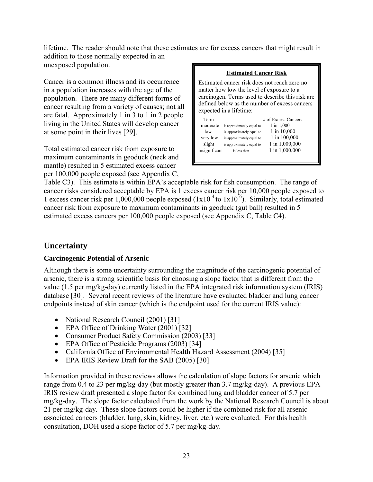lifetime. The reader should note that these estimates are for excess cancers that might result in addition to those normally expected in an unexposed population.

Cancer is a common illness and its occurrence in a population increases with the age of the population. There are many different forms of cancer resulting from a variety of causes; not all are fatal. Approximately 1 in 3 to 1 in 2 people living in the United States will develop cancer at some point in their lives [29].

Total estimated cancer risk from exposure to maximum contaminants in geoduck (neck and mantle) resulted in 5 estimated excess cancer per 100,000 people exposed (see Appendix C,

#### **Estimated Cancer Risk**

Estimated cancer risk does not reach zero no matter how low the level of exposure to a carcinogen. Terms used to describe this risk are defined below as the number of excess cancers expected in a lifetime:

| Term<br>moderate<br>low<br>very low<br>slight | is approximately equal to<br>is approximately equal to<br>is approximately equal to<br>is approximately equal to | # of Excess Cancers<br>1 in 1,000<br>1 in 10,000<br>1 in 100,000<br>1 in 1,000,000 |
|-----------------------------------------------|------------------------------------------------------------------------------------------------------------------|------------------------------------------------------------------------------------|
| insignificant                                 | is less than                                                                                                     | 1 in 1,000,000                                                                     |

Table C3). This estimate is within EPA's acceptable risk for fish consumption. The range of cancer risks considered acceptable by EPA is 1 excess cancer risk per 10,000 people exposed to 1 excess cancer risk per 1,000,000 people exposed  $(1x10^{-4}$  to  $1x10^{-6})$ . Similarly, total estimated cancer risk from exposure to maximum contaminants in geoduck (gut ball) resulted in 5 estimated excess cancers per 100,000 people exposed (see Appendix C, Table C4).

# <span id="page-23-0"></span>**Uncertainty**

## <span id="page-23-1"></span>**Carcinogenic Potential of Arsenic**

Although there is some uncertainty surrounding the magnitude of the carcinogenic potential of arsenic, there is a strong scientific basis for choosing a slope factor that is different from the value (1.5 per mg/kg-day) currently listed in the EPA integrated risk information system (IRIS) database [30]. Several recent reviews of the literature have evaluated bladder and lung cancer endpoints instead of skin cancer (which is the endpoint used for the current IRIS value):

- National Research Council (2001) [31]
- EPA Office of Drinking Water (2001) [32]
- Consumer Product Safety Commission (2003) [33]
- EPA Office of Pesticide Programs (2003) [34]
- California Office of Environmental Health Hazard Assessment (2004) [35]
- EPA IRIS Review Draft for the SAB (2005) [30]

Information provided in these reviews allows the calculation of slope factors for arsenic which range from 0.4 to 23 per mg/kg-day (but mostly greater than 3.7 mg/kg-day). A previous EPA IRIS review draft presented a slope factor for combined lung and bladder cancer of 5.7 per mg/kg-day. The slope factor calculated from the work by the National Research Council is about 21 per mg/kg-day. These slope factors could be higher if the combined risk for all arsenicassociated cancers (bladder, lung, skin, kidney, liver, etc.) were evaluated. For this health consultation, DOH used a slope factor of 5.7 per mg/kg-day.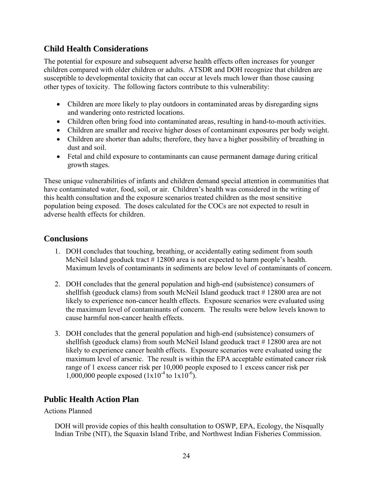# <span id="page-24-0"></span>**Child Health Considerations**

The potential for exposure and subsequent adverse health effects often increases for younger children compared with older children or adults. ATSDR and DOH recognize that children are susceptible to developmental toxicity that can occur at levels much lower than those causing other types of toxicity. The following factors contribute to this vulnerability:

- Children are more likely to play outdoors in contaminated areas by disregarding signs and wandering onto restricted locations.
- Children often bring food into contaminated areas, resulting in hand-to-mouth activities.
- Children are smaller and receive higher doses of contaminant exposures per body weight.
- Children are shorter than adults; therefore, they have a higher possibility of breathing in dust and soil.
- Fetal and child exposure to contaminants can cause permanent damage during critical growth stages.

These unique vulnerabilities of infants and children demand special attention in communities that have contaminated water, food, soil, or air. Children's health was considered in the writing of this health consultation and the exposure scenarios treated children as the most sensitive population being exposed. The doses calculated for the COCs are not expected to result in adverse health effects for children.

# <span id="page-24-1"></span>**Conclusions**

- 1. DOH concludes that touching, breathing, or accidentally eating sediment from south McNeil Island geoduck tract #12800 area is not expected to harm people's health. Maximum levels of contaminants in sediments are below level of contaminants of concern.
- 2. DOH concludes that the general population and high-end (subsistence) consumers of shellfish (geoduck clams) from south McNeil Island geoduck tract # 12800 area are not likely to experience non-cancer health effects. Exposure scenarios were evaluated using the maximum level of contaminants of concern. The results were below levels known to cause harmful non-cancer health effects.
- 3. DOH concludes that the general population and high-end (subsistence) consumers of shellfish (geoduck clams) from south McNeil Island geoduck tract # 12800 area are not likely to experience cancer health effects. Exposure scenarios were evaluated using the maximum level of arsenic. The result is within the EPA acceptable estimated cancer risk range of 1 excess cancer risk per 10,000 people exposed to 1 excess cancer risk per 1,000,000 people exposed  $(1x10^{-4}$  to  $1x10^{-6})$ .

# <span id="page-24-2"></span>**Public Health Action Plan**

Actions Planned

DOH will provide copies of this health consultation to OSWP, EPA, Ecology, the Nisqually Indian Tribe (NIT), the Squaxin Island Tribe, and Northwest Indian Fisheries Commission.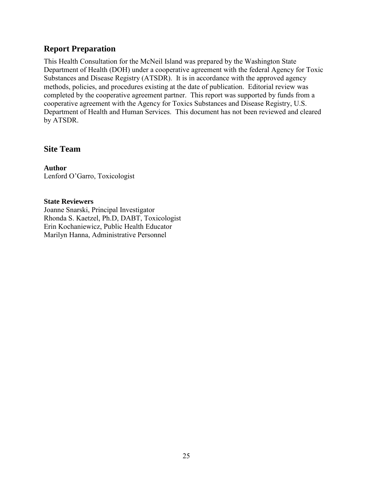# <span id="page-25-0"></span>**Report Preparation**

This Health Consultation for the McNeil Island was prepared by the Washington State Department of Health (DOH) under a cooperative agreement with the federal Agency for Toxic Substances and Disease Registry (ATSDR). It is in accordance with the approved agency methods, policies, and procedures existing at the date of publication. Editorial review was completed by the cooperative agreement partner. This report was supported by funds from a cooperative agreement with the Agency for Toxics Substances and Disease Registry, U.S. Department of Health and Human Services. This document has not been reviewed and cleared by ATSDR.

## **Site Team**

**Author** Lenford O'Garro, Toxicologist

#### **State Reviewers**

Joanne Snarski, Principal Investigator Rhonda S. Kaetzel, Ph.D, DABT, Toxicologist Erin Kochaniewicz, Public Health Educator Marilyn Hanna, Administrative Personnel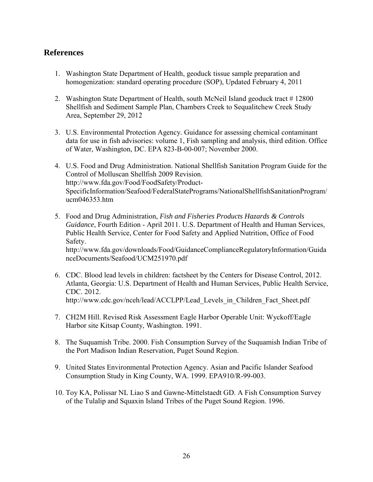# <span id="page-26-0"></span>**References**

- 1. Washington State Department of Health, geoduck tissue sample preparation and homogenization: standard operating procedure (SOP), Updated February 4, 2011
- 2. Washington State Department of Health, south McNeil Island geoduck tract # 12800 Shellfish and Sediment Sample Plan, Chambers Creek to Sequalitchew Creek Study Area, September 29, 2012
- 3. U.S. Environmental Protection Agency. Guidance for assessing chemical contaminant data for use in fish advisories: volume 1, Fish sampling and analysis, third edition. Office of Water, Washington, DC. EPA 823-B-00-007; November 2000.
- 4. U.S. Food and Drug Administration. National Shellfish Sanitation Program Guide for the Control of Molluscan Shellfish 2009 Revision. http://www.fda.gov/Food/FoodSafety/Product-SpecificInformation/Seafood/FederalStatePrograms/NationalShellfishSanitationProgram/ ucm046353.htm
- 5. Food and Drug Administration, *Fish and Fisheries Products Hazards & Controls Guidance*, Fourth Edition - April 2011. U.S. Department of Health and Human Services, Public Health Service, Center for Food Safety and Applied Nutrition, Office of Food Safety. http://www.fda.gov/downloads/Food/GuidanceComplianceRegulatoryInformation/Guida nceDocuments/Seafood/UCM251970.pdf
- 6. CDC. Blood lead levels in children: factsheet by the Centers for Disease Control, 2012. Atlanta, Georgia: U.S. Department of Health and Human Services, Public Health Service, CDC. 2012. http://www.cdc.gov/nceh/lead/ACCLPP/Lead\_Levels\_in\_Children\_Fact\_Sheet.pdf
- 7. CH2M Hill. Revised Risk Assessment Eagle Harbor Operable Unit: Wyckoff/Eagle Harbor site Kitsap County, Washington. 1991.
- 8. The Suquamish Tribe. 2000. Fish Consumption Survey of the Suquamish Indian Tribe of the Port Madison Indian Reservation, Puget Sound Region.
- 9. United States Environmental Protection Agency. Asian and Pacific Islander Seafood Consumption Study in King County, WA. 1999. EPA910/R-99-003.
- 10. Toy KA, Polissar NL Liao S and Gawne-Mittelstaedt GD. A Fish Consumption Survey of the Tulalip and Squaxin Island Tribes of the Puget Sound Region. 1996.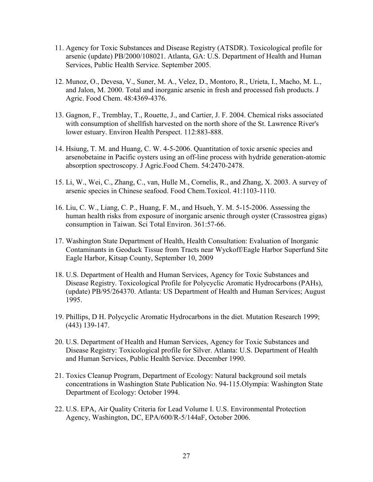- 11. Agency for Toxic Substances and Disease Registry (ATSDR). Toxicological profile for arsenic (update) PB/2000/108021. Atlanta, GA: U.S. Department of Health and Human Services, Public Health Service. September 2005.
- 12. Munoz, O., Devesa, V., Suner, M. A., Velez, D., Montoro, R., Urieta, I., Macho, M. L., and Jalon, M. 2000. Total and inorganic arsenic in fresh and processed fish products. J Agric. Food Chem. 48:4369-4376.
- 13. Gagnon, F., Tremblay, T., Rouette, J., and Cartier, J. F. 2004. Chemical risks associated with consumption of shellfish harvested on the north shore of the St. Lawrence River's lower estuary. Environ Health Perspect. 112:883-888.
- 14. Hsiung, T. M. and Huang, C. W. 4-5-2006. Quantitation of toxic arsenic species and arsenobetaine in Pacific oysters using an off-line process with hydride generation-atomic absorption spectroscopy. J Agric.Food Chem. 54:2470-2478.
- 15. Li, W., Wei, C., Zhang, C., van, Hulle M., Cornelis, R., and Zhang, X. 2003. A survey of arsenic species in Chinese seafood. Food Chem.Toxicol. 41:1103-1110.
- 16. Liu, C. W., Liang, C. P., Huang, F. M., and Hsueh, Y. M. 5-15-2006. Assessing the human health risks from exposure of inorganic arsenic through oyster (Crassostrea gigas) consumption in Taiwan. Sci Total Environ. 361:57-66.
- 17. Washington State Department of Health, Health Consultation: Evaluation of Inorganic Contaminants in Geoduck Tissue from Tracts near Wyckoff/Eagle Harbor Superfund Site Eagle Harbor, Kitsap County, September 10, 2009
- 18. U.S. Department of Health and Human Services, Agency for Toxic Substances and Disease Registry. Toxicological Profile for Polycyclic Aromatic Hydrocarbons (PAHs), (update) PB/95/264370. Atlanta: US Department of Health and Human Services; August 1995.
- 19. Phillips, D H. Polycyclic Aromatic Hydrocarbons in the diet. Mutation Research 1999; (443) 139-147.
- 20. U.S. Department of Health and Human Services, Agency for Toxic Substances and Disease Registry: Toxicological profile for Silver. Atlanta: U.S. Department of Health and Human Services, Public Health Service. December 1990.
- 21. Toxics Cleanup Program, Department of Ecology: Natural background soil metals concentrations in Washington State Publication No. 94-115.Olympia: Washington State Department of Ecology: October 1994.
- 22. U.S. EPA, Air Quality Criteria for Lead Volume I. U.S. Environmental Protection Agency, Washington, DC, EPA/600/R-5/144aF, October 2006.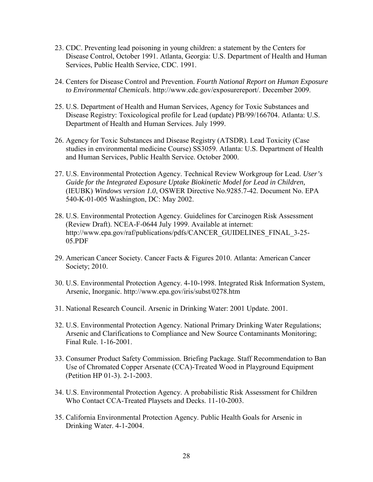- 23. CDC. Preventing lead poisoning in young children: a statement by the Centers for Disease Control, October 1991. Atlanta, Georgia: U.S. Department of Health and Human Services, Public Health Service, CDC. 1991.
- 24. Centers for Disease Control and Prevention. *Fourth National Report on Human Exposure to Environmental Chemicals*. http://www.cdc.gov/exposurereport/. December 2009.
- 25. U.S. Department of Health and Human Services, Agency for Toxic Substances and Disease Registry: Toxicological profile for Lead (update) PB/99/166704. Atlanta: U.S. Department of Health and Human Services. July 1999.
- 26. Agency for Toxic Substances and Disease Registry (ATSDR). Lead Toxicity (Case studies in environmental medicine Course) SS3059. Atlanta: U.S. Department of Health and Human Services, Public Health Service. October 2000.
- 27. U.S. Environmental Protection Agency. Technical Review Workgroup for Lead. *User's Guide for the Integrated Exposure Uptake Biokinetic Model for Lead in Children,* (IEUBK) *Windows version 1.0*, OSWER Directive No.9285.7-42. Document No. EPA 540-K-01-005 Washington, DC: May 2002.
- 28. U.S. Environmental Protection Agency. Guidelines for Carcinogen Risk Assessment (Review Draft). NCEA-F-0644 July 1999. Available at internet: http://www.epa.gov/raf/publications/pdfs/CANCER\_GUIDELINES\_FINAL\_3-25- 05.PDF
- 29. American Cancer Society. Cancer Facts & Figures 2010. Atlanta: American Cancer Society; 2010.
- 30. U.S. Environmental Protection Agency. 4-10-1998. Integrated Risk Information System, Arsenic, Inorganic. http://www.epa.gov/iris/subst/0278.htm
- 31. National Research Council. Arsenic in Drinking Water: 2001 Update. 2001.
- 32. U.S. Environmental Protection Agency. National Primary Drinking Water Regulations; Arsenic and Clarifications to Compliance and New Source Contaminants Monitoring; Final Rule. 1-16-2001.
- 33. Consumer Product Safety Commission. Briefing Package. Staff Recommendation to Ban Use of Chromated Copper Arsenate (CCA)-Treated Wood in Playground Equipment (Petition HP 01-3). 2-1-2003.
- 34. U.S. Environmental Protection Agency. A probabilistic Risk Assessment for Children Who Contact CCA-Treated Playsets and Decks. 11-10-2003.
- 35. California Environmental Protection Agency. Public Health Goals for Arsenic in Drinking Water. 4-1-2004.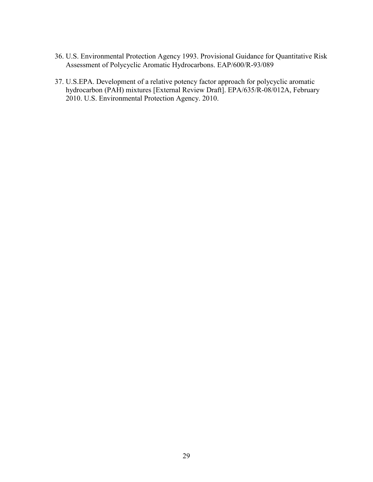- 36. U.S. Environmental Protection Agency 1993. Provisional Guidance for Quantitative Risk Assessment of Polycyclic Aromatic Hydrocarbons. EAP/600/R-93/089
- 37. U.S.EPA. Development of a relative potency factor approach for polycyclic aromatic hydrocarbon (PAH) mixtures [External Review Draft]. EPA/635/R-08/012A, February 2010. U.S. Environmental Protection Agency. 2010.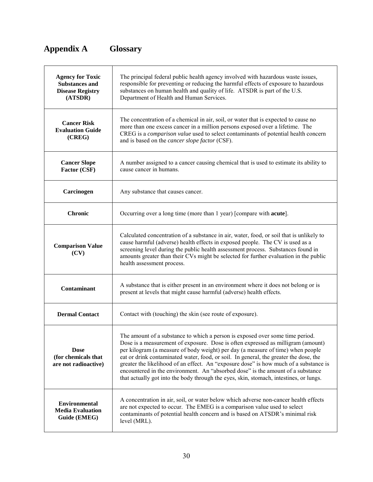# <span id="page-30-0"></span>**Appendix A Glossary**

| <b>Agency for Toxic</b><br><b>Substances and</b><br><b>Disease Registry</b><br>(ATSDR) | The principal federal public health agency involved with hazardous waste issues,<br>responsible for preventing or reducing the harmful effects of exposure to hazardous<br>substances on human health and quality of life. ATSDR is part of the U.S.<br>Department of Health and Human Services.                                                                                                                                                                                                                                                                                                                    |
|----------------------------------------------------------------------------------------|---------------------------------------------------------------------------------------------------------------------------------------------------------------------------------------------------------------------------------------------------------------------------------------------------------------------------------------------------------------------------------------------------------------------------------------------------------------------------------------------------------------------------------------------------------------------------------------------------------------------|
| <b>Cancer Risk</b><br><b>Evaluation Guide</b><br>(CREG)                                | The concentration of a chemical in air, soil, or water that is expected to cause no<br>more than one excess cancer in a million persons exposed over a lifetime. The<br>CREG is a comparison value used to select contaminants of potential health concern<br>and is based on the <i>cancer slope factor</i> (CSF).                                                                                                                                                                                                                                                                                                 |
| <b>Cancer Slope</b><br>Factor (CSF)                                                    | A number assigned to a cancer causing chemical that is used to estimate its ability to<br>cause cancer in humans.                                                                                                                                                                                                                                                                                                                                                                                                                                                                                                   |
| Carcinogen                                                                             | Any substance that causes cancer.                                                                                                                                                                                                                                                                                                                                                                                                                                                                                                                                                                                   |
| <b>Chronic</b>                                                                         | Occurring over a long time (more than 1 year) [compare with <b>acute</b> ].                                                                                                                                                                                                                                                                                                                                                                                                                                                                                                                                         |
| <b>Comparison Value</b><br>(CV)                                                        | Calculated concentration of a substance in air, water, food, or soil that is unlikely to<br>cause harmful (adverse) health effects in exposed people. The CV is used as a<br>screening level during the public health assessment process. Substances found in<br>amounts greater than their CVs might be selected for further evaluation in the public<br>health assessment process.                                                                                                                                                                                                                                |
| <b>Contaminant</b>                                                                     | A substance that is either present in an environment where it does not belong or is<br>present at levels that might cause harmful (adverse) health effects.                                                                                                                                                                                                                                                                                                                                                                                                                                                         |
| <b>Dermal Contact</b>                                                                  | Contact with (touching) the skin (see route of exposure).                                                                                                                                                                                                                                                                                                                                                                                                                                                                                                                                                           |
| <b>Dose</b><br>(for chemicals that<br>are not radioactive)                             | The amount of a substance to which a person is exposed over some time period.<br>Dose is a measurement of exposure. Dose is often expressed as milligram (amount)<br>per kilogram (a measure of body weight) per day (a measure of time) when people<br>eat or drink contaminated water, food, or soil. In general, the greater the dose, the<br>greater the likelihood of an effect. An "exposure dose" is how much of a substance is<br>encountered in the environment. An "absorbed dose" is the amount of a substance<br>that actually got into the body through the eyes, skin, stomach, intestines, or lungs. |
| <b>Environmental</b><br><b>Media Evaluation</b><br>Guide (EMEG)                        | A concentration in air, soil, or water below which adverse non-cancer health effects<br>are not expected to occur. The EMEG is a comparison value used to select<br>contaminants of potential health concern and is based on ATSDR's minimal risk<br>level (MRL).                                                                                                                                                                                                                                                                                                                                                   |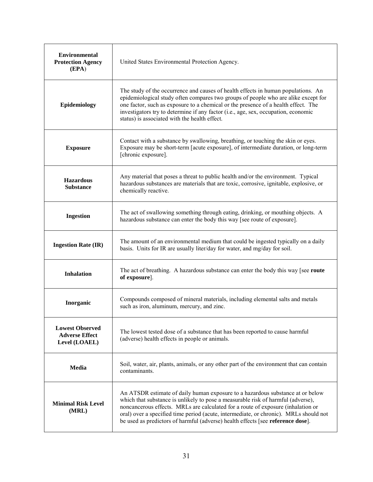| <b>Environmental</b><br><b>Protection Agency</b><br>(EPA)        | United States Environmental Protection Agency.                                                                                                                                                                                                                                                                                                                                                                                     |
|------------------------------------------------------------------|------------------------------------------------------------------------------------------------------------------------------------------------------------------------------------------------------------------------------------------------------------------------------------------------------------------------------------------------------------------------------------------------------------------------------------|
| Epidemiology                                                     | The study of the occurrence and causes of health effects in human populations. An<br>epidemiological study often compares two groups of people who are alike except for<br>one factor, such as exposure to a chemical or the presence of a health effect. The<br>investigators try to determine if any factor (i.e., age, sex, occupation, economic<br>status) is associated with the health effect.                               |
| <b>Exposure</b>                                                  | Contact with a substance by swallowing, breathing, or touching the skin or eyes.<br>Exposure may be short-term [acute exposure], of intermediate duration, or long-term<br>[chronic exposure].                                                                                                                                                                                                                                     |
| <b>Hazardous</b><br><b>Substance</b>                             | Any material that poses a threat to public health and/or the environment. Typical<br>hazardous substances are materials that are toxic, corrosive, ignitable, explosive, or<br>chemically reactive.                                                                                                                                                                                                                                |
| <b>Ingestion</b>                                                 | The act of swallowing something through eating, drinking, or mouthing objects. A<br>hazardous substance can enter the body this way [see route of exposure].                                                                                                                                                                                                                                                                       |
| <b>Ingestion Rate (IR)</b>                                       | The amount of an environmental medium that could be ingested typically on a daily<br>basis. Units for IR are usually liter/day for water, and mg/day for soil.                                                                                                                                                                                                                                                                     |
| <b>Inhalation</b>                                                | The act of breathing. A hazardous substance can enter the body this way [see route<br>of exposure].                                                                                                                                                                                                                                                                                                                                |
| Inorganic                                                        | Compounds composed of mineral materials, including elemental salts and metals<br>such as iron, aluminum, mercury, and zinc.                                                                                                                                                                                                                                                                                                        |
| <b>Lowest Observed</b><br><b>Adverse Effect</b><br>Level (LOAEL) | The lowest tested dose of a substance that has been reported to cause harmful<br>(adverse) health effects in people or animals.                                                                                                                                                                                                                                                                                                    |
| Media                                                            | Soil, water, air, plants, animals, or any other part of the environment that can contain<br>contaminants.                                                                                                                                                                                                                                                                                                                          |
| <b>Minimal Risk Level</b><br>(MRL)                               | An ATSDR estimate of daily human exposure to a hazardous substance at or below<br>which that substance is unlikely to pose a measurable risk of harmful (adverse),<br>noncancerous effects. MRLs are calculated for a route of exposure (inhalation or<br>oral) over a specified time period (acute, intermediate, or chronic). MRLs should not<br>be used as predictors of harmful (adverse) health effects [see reference dose]. |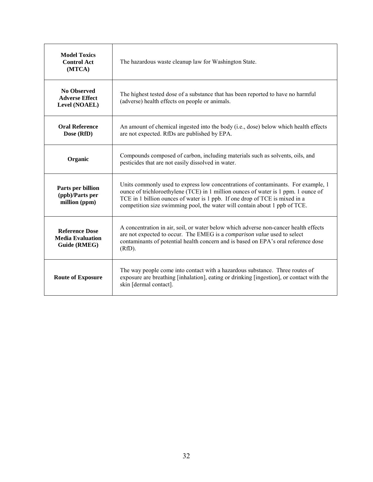| <b>Model Toxics</b><br><b>Control Act</b><br>(MTCA)              | The hazardous waste cleanup law for Washington State.                                                                                                                                                                                                                                                                                |
|------------------------------------------------------------------|--------------------------------------------------------------------------------------------------------------------------------------------------------------------------------------------------------------------------------------------------------------------------------------------------------------------------------------|
| <b>No Observed</b><br><b>Adverse Effect</b><br>Level (NOAEL)     | The highest tested dose of a substance that has been reported to have no harmful<br>(adverse) health effects on people or animals.                                                                                                                                                                                                   |
| <b>Oral Reference</b><br>Dose (RfD)                              | An amount of chemical ingested into the body (i.e., dose) below which health effects<br>are not expected. RfDs are published by EPA.                                                                                                                                                                                                 |
| Organic                                                          | Compounds composed of carbon, including materials such as solvents, oils, and<br>pesticides that are not easily dissolved in water.                                                                                                                                                                                                  |
| Parts per billion<br>(ppb)/Parts per<br>million (ppm)            | Units commonly used to express low concentrations of contaminants. For example, 1<br>ounce of trichloroethylene (TCE) in 1 million ounces of water is 1 ppm. 1 ounce of<br>TCE in 1 billion ounces of water is 1 ppb. If one drop of TCE is mixed in a<br>competition size swimming pool, the water will contain about 1 ppb of TCE. |
| <b>Reference Dose</b><br><b>Media Evaluation</b><br>Guide (RMEG) | A concentration in air, soil, or water below which adverse non-cancer health effects<br>are not expected to occur. The EMEG is a comparison value used to select<br>contaminants of potential health concern and is based on EPA's oral reference dose<br>(RfD).                                                                     |
| <b>Route of Exposure</b>                                         | The way people come into contact with a hazardous substance. Three routes of<br>exposure are breathing [inhalation], eating or drinking [ingestion], or contact with the<br>skin [dermal contact].                                                                                                                                   |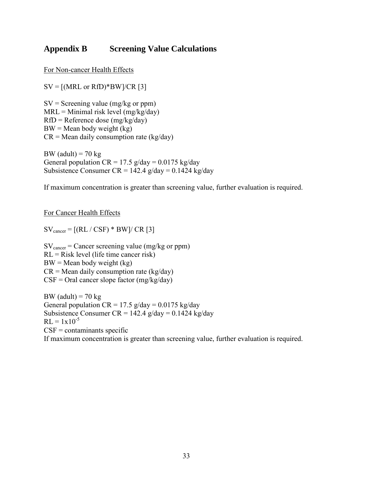# <span id="page-33-0"></span>**Appendix B Screening Value Calculations**

For Non-cancer Health Effects

 $SV = [(MRL or RfD)*BW]/CR [3]$ 

 $SV =$  Screening value (mg/kg or ppm)  $MRL =$  Minimal risk level (mg/kg/day) RfD = Reference dose (mg/kg/day)  $BW = Mean$  body weight (kg)  $CR = Mean$  daily consumption rate (kg/day)

BW (adult) =  $70 \text{ kg}$ General population  $CR = 17.5$  g/day = 0.0175 kg/day Subsistence Consumer CR = 142.4  $g/day = 0.1424$  kg/day

If maximum concentration is greater than screening value, further evaluation is required.

For Cancer Health Effects

 $SV_{\text{cancer}} = [(RL / CSF) * BW] / CR [3]$ 

 $SV_{\text{cancer}} = \text{Cancer screening value (mg/kg or ppm)}$ RL = Risk level (life time cancer risk)  $BW = Mean$  body weight (kg)  $CR = Mean$  daily consumption rate (kg/day)  $CSF =$  Oral cancer slope factor (mg/kg/day)

BW (adult) =  $70 \text{ kg}$ General population  $CR = 17.5$  g/day = 0.0175 kg/day Subsistence Consumer CR =  $142.4$  g/day = 0.1424 kg/day  $RL = 1x10^{-5}$  $CSF = \text{contaminants specific}$ If maximum concentration is greater than screening value, further evaluation is required.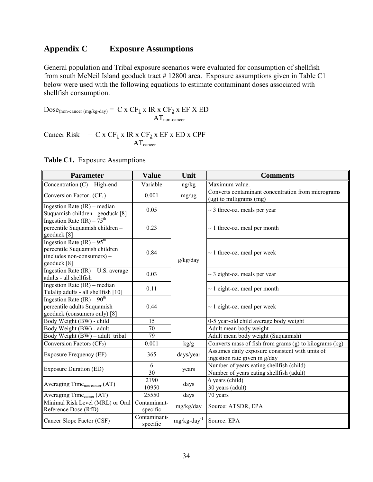# <span id="page-34-0"></span>**Appendix C Exposure Assumptions**

General population and Tribal exposure scenarios were evaluated for consumption of shellfish from south McNeil Island geoduck tract # 12800 area. Exposure assumptions given in Table C1 below were used with the following equations to estimate contaminant doses associated with shellfish consumption.

 $Dose_{(non\text{-}cancer (mg/kg-day))} = C \times CF_1 \times IR \times CF_2 \times EF \times ED$  $AT_{non-cancer}$ 

Cancer Risk =  $C x CF_1 x IR x CF_2 x EF x ED x CPF$ ATcancer

|  |  | <b>Table C1.</b> Exposure Assumptions |
|--|--|---------------------------------------|
|--|--|---------------------------------------|

| <b>Parameter</b>                                                                                           | <b>Value</b>             | Unit                       | <b>Comments</b>                                                                      |
|------------------------------------------------------------------------------------------------------------|--------------------------|----------------------------|--------------------------------------------------------------------------------------|
| Concentration $(C)$ – High-end                                                                             | Variable                 | $\frac{u g}{k g}$          | Maximum value.                                                                       |
| Conversion Factor <sub>1</sub> ( $CF1$ )                                                                   | 0.001                    | mg/ug                      | Converts contaminant concentration from micrograms<br>(ug) to milligrams (mg)        |
| Ingestion Rate $(IR)$ – median<br>Suquamish children - geoduck [8]                                         | 0.05                     |                            | $\sim$ 3 three-oz. meals per year                                                    |
| Ingestion Rate $(IR) - 75th$<br>percentile Suquamish children -<br>geoduck [8]                             | 0.23                     |                            | $\sim$ 1 three-oz. meal per month                                                    |
| Ingestion Rate $(IR) - 95th$<br>percentile Suquamish children<br>(includes non-consumers) -<br>geoduck [8] | 0.84                     | g/kg/day                   | $\sim$ 1 three-oz. meal per week                                                     |
| Ingestion Rate $(IR) - U.S.$ average<br>adults - all shellfish                                             | 0.03                     |                            | $\sim$ 3 eight-oz. meals per year                                                    |
| Ingestion Rate $(IR)$ – median<br>Tulalip adults - all shellfish [10]                                      | 0.11                     |                            | $\sim$ 1 eight-oz. meal per month                                                    |
| Ingestion Rate $(IR)$ – 90 <sup>th</sup><br>percentile adults Suquamish -<br>geoduck (consumers only) [8]  | 0.44                     |                            | $\sim$ 1 eight-oz. meal per week                                                     |
| Body Weight (BW) - child                                                                                   | 15                       |                            | 0-5 year-old child average body weight                                               |
| Body Weight (BW) - adult                                                                                   | 70                       |                            | Adult mean body weight                                                               |
| Body Weight (BW) – adult tribal                                                                            | 79                       |                            | Adult mean body weight (Suquamish)                                                   |
| Conversion Factor <sub>2</sub> ( $CF2$ )                                                                   | 0.001                    | kg/g                       | Converts mass of fish from grams (g) to kilograms (kg)                               |
| <b>Exposure Frequency (EF)</b>                                                                             | 365                      | days/year                  | Assumes daily exposure consistent with units of<br>ingestion rate given in g/day     |
| <b>Exposure Duration (ED)</b>                                                                              | 6<br>30                  | years                      | Number of years eating shellfish (child)<br>Number of years eating shellfish (adult) |
| Averaging Time <sub>non-cancer</sub> (AT)                                                                  | 2190<br>10950            | days                       | 6 years (child)<br>30 years (adult)                                                  |
| Averaging Time <sub>cancer</sub> (AT)                                                                      | 25550                    | days                       | 70 years                                                                             |
| Minimal Risk Level (MRL) or Oral<br>Reference Dose (RfD)                                                   | Contaminant-<br>specific | mg/kg/day                  | Source: ATSDR, EPA                                                                   |
| Cancer Slope Factor (CSF)                                                                                  | Contaminant-<br>specific | $mg/kg$ -day <sup>-1</sup> | Source: EPA                                                                          |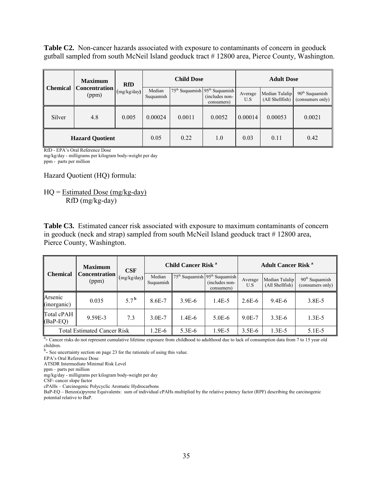**Table C2.** Non-cancer hazards associated with exposure to contaminants of concern in geoduck gutball sampled from south McNeil Island geoduck tract # 12800 area, Pierce County, Washington.

|                 | <b>Maximum</b>                | <b>RfD</b>  | <b>Child Dose</b>   |        | <b>Adult Dose</b>                                                                     |                |                                   |                                      |
|-----------------|-------------------------------|-------------|---------------------|--------|---------------------------------------------------------------------------------------|----------------|-----------------------------------|--------------------------------------|
| <b>Chemical</b> | <b>Concentration</b><br>(ppm) | (mg/kg/day) | Median<br>Suquamish |        | 75 <sup>th</sup> Suquamish 95 <sup>th</sup> Suquamish<br>(includes non-<br>consumers) | Average<br>U.S | Median Tulalip<br>(All Shellfish) | $90th$ Suquamish<br>(consumers only) |
| Silver          | 4.8                           | 0.005       | 0.00024             | 0.0011 | 0.0052                                                                                | 0.00014        | 0.00053                           | 0.0021                               |
|                 | <b>Hazard Quotient</b>        |             | 0.05                | 0.22   | 1.0                                                                                   | 0.03           | 0.11                              | 0.42                                 |

RfD - EPA's Oral Reference Dose mg/kg/day - milligrams per kilogram body-weight per day

ppm - parts per million

Hazard Quotient (HQ) formula:

HQ = Estimated Dose (mg/kg-day) RfD (mg/kg-day)

**Table C3.** Estimated cancer risk associated with exposure to maximum contaminants of concern in geoduck (neck and strap) sampled from south McNeil Island geoduck tract # 12800 area, Pierce County, Washington.

|                                    | <b>Maximum</b>                | <b>CSF</b>      | <b>Child Cancer Risk<sup>a</sup></b> |          | <b>Adult Cancer Risk<sup>a</sup></b>                                                  |                |                                   |                                      |
|------------------------------------|-------------------------------|-----------------|--------------------------------------|----------|---------------------------------------------------------------------------------------|----------------|-----------------------------------|--------------------------------------|
| Chemical                           | <b>Concentration</b><br>(ppm) | (mg/kg/day)     | Median<br>Suquamish                  |          | 75 <sup>th</sup> Suquamish 95 <sup>th</sup> Suquamish<br>(includes non-<br>consumers) | Average<br>U.S | Median Tulalip<br>(All Shellfish) | $90th$ Suquamish<br>(consumers only) |
| Arsenic<br>(inorganic)             | 0.035                         | 57 <sup>b</sup> | 8.6E-7                               | $3.9E-6$ | $1.4E-5$                                                                              | $2.6E-6$       | $9.4E-6$                          | 3.8E-5                               |
| Total cPAH<br>$(BaP-EQ)$           | 9.59E-3                       | 7.3             | 3.0 <sub>E</sub> -7                  | $1.4E-6$ | $5.0E-6$                                                                              | $9.0E - 7$     | $3.3E-6$                          | $1.3E - 5$                           |
| <b>Total Estimated Cancer Risk</b> |                               | $.2E-6$         | $5.3E-6$                             | 1.9E-5   | $3.5E-6$                                                                              | $1.3E-5$       | 5.1E-5                            |                                      |

<sup>a</sup> Cancer risks do not represent cumulative lifetime exposure from childhood to adulthood due to lack of consumption data from 7 to 15 year old children.

<sup>b</sup>- See uncertainty section on page 23 for the rationale of using this value.

EPA's Oral Reference Dose

ATSDR Intermediate Minimal Risk Level

ppm – parts per million

mg/kg/day - milligrams per kilogram body-weight per day

CSF- cancer slope factor

cPAHs – Carcinogenic Polycyclic Aromatic Hydrocarbons

BaP-EQ – Benzo(a)pyrene Equivalents: sum of individual cPAHs multiplied by the relative potency factor (RPF) describing the carcinogenic potential relative to BaP.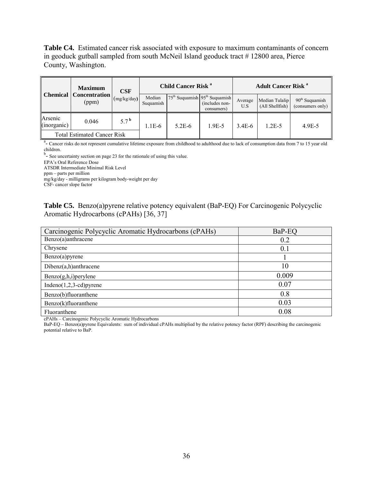**Table C4.** Estimated cancer risk associated with exposure to maximum contaminants of concern in geoduck gutball sampled from south McNeil Island geoduck tract # 12800 area, Pierce County, Washington.

|                                    | <b>Maximum</b>                         | <b>CSF</b>         | <b>Child Cancer Risk<sup>a</sup></b> |          | <b>Adult Cancer Risk</b> <sup>a</sup>                             |                |                                   |                                      |
|------------------------------------|----------------------------------------|--------------------|--------------------------------------|----------|-------------------------------------------------------------------|----------------|-----------------------------------|--------------------------------------|
|                                    | <b>Chemical Concentration</b><br>(ppm) | (mg/kg/day)        | Median<br>Suquamish                  |          | $75th$ Suquamish $95th$ Suquamish<br>(includes non-<br>consumers) | Average<br>U.S | Median Tulalip<br>(All Shellfish) | $90th$ Suquamish<br>(consumers only) |
| Arsenic<br>(inorganic)             | 0.046                                  | $5.7^{\mathrm{b}}$ | $1.1E-6$                             | $5.2E-6$ | 1.9E-5                                                            | 3.4E-6         | $1.2E - 5$                        | $4.9E - 5$                           |
| <b>Total Estimated Cancer Risk</b> |                                        |                    |                                      |          |                                                                   |                |                                   |                                      |

<sup>a</sup> Cancer risks do not represent cumulative lifetime exposure from childhood to adulthood due to lack of consumption data from 7 to 15 year old children.

<sup>b</sup>- See uncertainty section on page 23 for the rationale of using this value.

EPA's Oral Reference Dose

ATSDR Intermediate Minimal Risk Level

ppm – parts per million

mg/kg/day - milligrams per kilogram body-weight per day

CSF- cancer slope factor

|  | <b>Table C5.</b> Benzo(a) pyrene relative potency equivalent (BaP-EQ) For Carcinogenic Polycyclic |  |  |  |
|--|---------------------------------------------------------------------------------------------------|--|--|--|
|  | Aromatic Hydrocarbons (cPAHs) [36, 37]                                                            |  |  |  |

| Carcinogenic Polycyclic Aromatic Hydrocarbons (cPAHs) | BaP-EQ |
|-------------------------------------------------------|--------|
| Benzo(a)anthracene                                    | 0.2    |
| Chrysene                                              | 0.1    |
| Benzo(a)pyrene                                        |        |
| $Dibenz(a,h)$ anthracene                              | 10     |
| $Benzo(g,h,i)$ per ylene                              | 0.009  |
| $Indeno(1,2,3-cd)pyrene$                              | 0.07   |
| Benzo(b)fluoranthene                                  | 0.8    |
| Benzo(k)fluoranthene                                  | 0.03   |
| Fluoranthene                                          | 0.08   |

cPAHs – Carcinogenic Polycyclic Aromatic Hydrocarbons

BaP-EQ – Benzo(a)pyrene Equivalents: sum of individual cPAHs multiplied by the relative potency factor (RPF) describing the carcinogenic potential relative to BaP.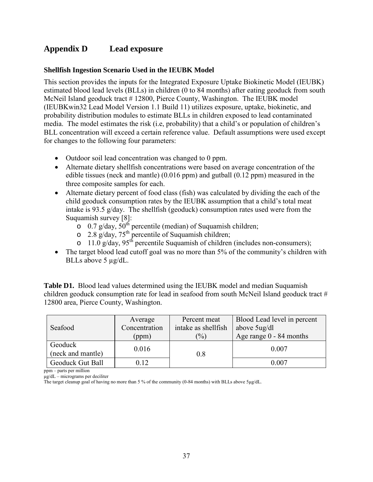# <span id="page-37-0"></span>**Appendix D Lead exposure**

#### <span id="page-37-1"></span>**Shellfish Ingestion Scenario Used in the IEUBK Model**

This section provides the inputs for the Integrated Exposure Uptake Biokinetic Model (IEUBK) estimated blood lead levels (BLLs) in children (0 to 84 months) after eating geoduck from south McNeil Island geoduck tract # 12800, Pierce County, Washington. The IEUBK model (IEUBKwin32 Lead Model Version 1.1 Build 11) utilizes exposure, uptake, biokinetic, and probability distribution modules to estimate BLLs in children exposed to lead contaminated media. The model estimates the risk (i.e, probability) that a child's or population of children's BLL concentration will exceed a certain reference value. Default assumptions were used except for changes to the following four parameters:

- Outdoor soil lead concentration was changed to 0 ppm.
- Alternate dietary shellfish concentrations were based on average concentration of the edible tissues (neck and mantle) (0.016 ppm) and gutball (0.12 ppm) measured in the three composite samples for each.
- Alternate dietary percent of food class (fish) was calculated by dividing the each of the child geoduck consumption rates by the IEUBK assumption that a child's total meat intake is 93.5  $g/day$ . The shellfish (geoduck) consumption rates used were from the Suquamish survey [8]:
	- o 0.7 g/day,  $50^{th}$  percentile (median) of Suquamish children;
	- $\circ$  2.8 g/day, 75<sup>th</sup> percentile of Suquamish children;
	- $\frac{3}{2}$  11.0 g/day, 95<sup>th</sup> percentile Suquamish of children (includes non-consumers);
- The target blood lead cutoff goal was no more than 5% of the community's children with BLLs above 5  $\mu$ g/dL.

**Table D1.** Blood lead values determined using the IEUBK model and median Suquamish children geoduck consumption rate for lead in seafood from south McNeil Island geoduck tract # 12800 area, Pierce County, Washington.

|                   | Average       | Percent meat        | Blood Lead level in percent |
|-------------------|---------------|---------------------|-----------------------------|
| Seafood           | Concentration | intake as shellfish | above 5ug/dl                |
|                   | (ppm)         | $\frac{1}{2}$       | Age range $0 - 84$ months   |
| Geoduck           | 0.016         |                     | 0.007                       |
| (neck and mantle) |               | 0.8                 |                             |
| Geoduck Gut Ball  | 0.12          |                     | 0.007                       |

ppm – parts per million

μg/dL – micrograms per deciliter

The target cleanup goal of having no more than 5 % of the community (0-84 months) with BLLs above 5μg/dL.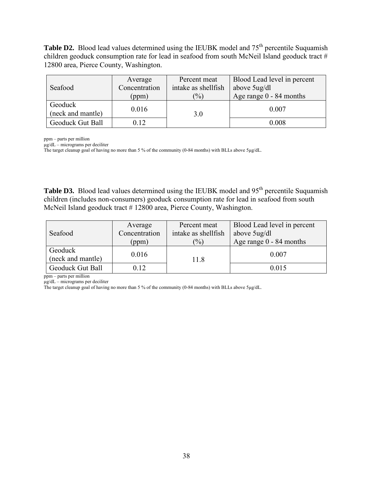**Table D2.** Blood lead values determined using the IEUBK model and 75<sup>th</sup> percentile Suquamish children geoduck consumption rate for lead in seafood from south McNeil Island geoduck tract # 12800 area, Pierce County, Washington.

|                   | Average       | Percent meat        | Blood Lead level in percent |
|-------------------|---------------|---------------------|-----------------------------|
| Seafood           | Concentration | intake as shellfish | above 5ug/dl                |
|                   | (ppm)         | $\frac{1}{2}$       | Age range $0 - 84$ months   |
| Geoduck           | 0.016         |                     | 0.007                       |
| (neck and mantle) |               | 3.0                 |                             |
| Geoduck Gut Ball  | 0.12          |                     | 0.008                       |

ppm – parts per million

μg/dL – micrograms per deciliter

The target cleanup goal of having no more than 5 % of the community (0-84 months) with BLLs above 5μg/dL.

**Table D3.** Blood lead values determined using the IEUBK model and 95<sup>th</sup> percentile Suquamish children (includes non-consumers) geoduck consumption rate for lead in seafood from south McNeil Island geoduck tract # 12800 area, Pierce County, Washington.

|                         | Average       | Percent meat        | Blood Lead level in percent |
|-------------------------|---------------|---------------------|-----------------------------|
| Seafood                 | Concentration | intake as shellfish | above 5ug/dl                |
|                         | (ppm)         | $(\%)$              | Age range $0 - 84$ months   |
| Geoduck                 | 0.016         |                     | 0.007                       |
| (neck and mantle)       |               | 11.8                |                             |
| <b>Geoduck Gut Ball</b> | 0.12          |                     | 0.015                       |

ppm – parts per million

μg/dL – micrograms per deciliter

The target cleanup goal of having no more than 5 % of the community (0-84 months) with BLLs above 5μg/dL.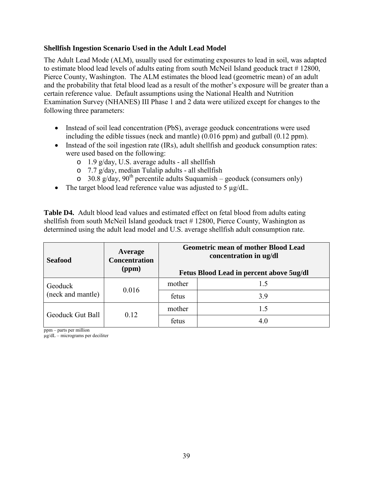#### <span id="page-39-0"></span>**Shellfish Ingestion Scenario Used in the Adult Lead Model**

The Adult Lead Mode (ALM), usually used for estimating exposures to lead in soil, was adapted to estimate blood lead levels of adults eating from south McNeil Island geoduck tract #12800, Pierce County, Washington. The ALM estimates the blood lead (geometric mean) of an adult and the probability that fetal blood lead as a result of the mother's exposure will be greater than a certain reference value. Default assumptions using the National Health and Nutrition Examination Survey (NHANES) III Phase 1 and 2 data were utilized except for changes to the following three parameters:

- Instead of soil lead concentration (PbS), average geoduck concentrations were used including the edible tissues (neck and mantle) (0.016 ppm) and gutball (0.12 ppm).
- Instead of the soil ingestion rate (IRs), adult shellfish and geoduck consumption rates: were used based on the following:
	- o 1.9 g/day, U.S. average adults all shellfish
	- o 7.7 g/day, median Tulalip adults all shellfish
	- $\sigma$  30.8 g/day, 90<sup>th</sup> percentile adults Suquamish geoduck (consumers only)
- The target blood lead reference value was adjusted to 5  $\mu$ g/dL.

**Table D4.** Adult blood lead values and estimated effect on fetal blood from adults eating shellfish from south McNeil Island geoduck tract #12800, Pierce County, Washington as determined using the adult lead model and U.S. average shellfish adult consumption rate.

| <b>Seafood</b>    | Average<br><b>Concentration</b><br>(ppm) | <b>Geometric mean of mother Blood Lead</b><br>concentration in ug/dl<br><b>Fetus Blood Lead in percent above 5ug/dl</b> |     |  |
|-------------------|------------------------------------------|-------------------------------------------------------------------------------------------------------------------------|-----|--|
| Geoduck           | 0.016                                    | mother                                                                                                                  | 1.5 |  |
| (neck and mantle) |                                          | fetus                                                                                                                   | 3.9 |  |
| Geoduck Gut Ball  | 0.12                                     | mother                                                                                                                  | 1.5 |  |
|                   |                                          | fetus                                                                                                                   | 4.0 |  |

ppm – parts per million

μg/dL – micrograms per deciliter